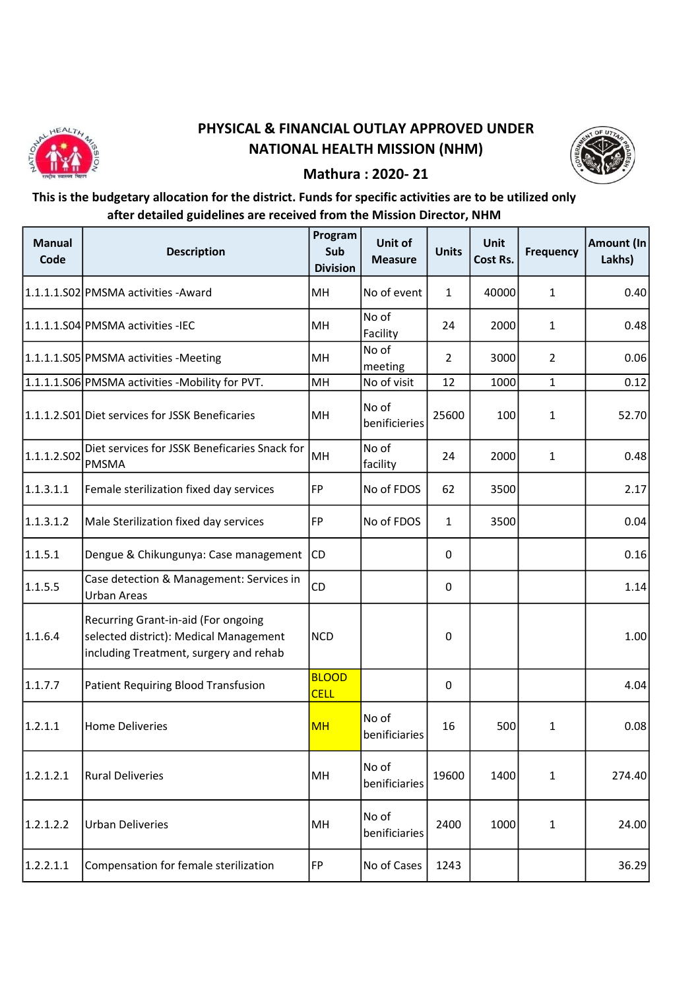

## PHYSICAL & FINANCIAL OUTLAY APPROVED UNDER NATIONAL HEALTH MISSION (NHM)



## Mathura : 2020- 21

## This is the budgetary allocation for the district. Funds for specific activities are to be utilized only after detailed guidelines are received from the Mission Director, NHM

| <b>Manual</b><br>Code | <b>Description</b>                                                                                                      | Program<br>Sub<br><b>Division</b> | Unit of<br><b>Measure</b> | <b>Units</b>   | <b>Unit</b><br>Cost Rs. | <b>Frequency</b> | Amount (In<br>Lakhs) |
|-----------------------|-------------------------------------------------------------------------------------------------------------------------|-----------------------------------|---------------------------|----------------|-------------------------|------------------|----------------------|
|                       | 1.1.1.1.S02 PMSMA activities - Award                                                                                    | MH                                | No of event               | $\mathbf{1}$   | 40000                   | 1                | 0.40                 |
|                       | 1.1.1.1.S04 PMSMA activities - IEC                                                                                      | MH                                | No of<br>Facility         | 24             | 2000                    | 1                | 0.48                 |
|                       | 1.1.1.1.S05 PMSMA activities - Meeting                                                                                  | MH                                | No of<br>meeting          | $\overline{2}$ | 3000                    | $\overline{2}$   | 0.06                 |
|                       | 1.1.1.1.S06 PMSMA activities - Mobility for PVT.                                                                        | MH                                | No of visit               | 12             | 1000                    | $\mathbf{1}$     | 0.12                 |
|                       | 1.1.1.2.S01 Diet services for JSSK Beneficaries                                                                         | MH                                | No of<br>benificieries    | 25600          | 100                     | $\mathbf{1}$     | 52.70                |
| 1.1.1.2.502           | Diet services for JSSK Beneficaries Snack for<br><b>PMSMA</b>                                                           | MH                                | No of<br>facility         | 24             | 2000                    | $\mathbf{1}$     | 0.48                 |
| 1.1.3.1.1             | Female sterilization fixed day services                                                                                 | FP                                | No of FDOS                | 62             | 3500                    |                  | 2.17                 |
| 1.1.3.1.2             | Male Sterilization fixed day services                                                                                   | FP                                | No of FDOS                | $\mathbf{1}$   | 3500                    |                  | 0.04                 |
| 1.1.5.1               | Dengue & Chikungunya: Case management                                                                                   | <b>CD</b>                         |                           | $\mathbf{0}$   |                         |                  | 0.16                 |
| 1.1.5.5               | Case detection & Management: Services in<br><b>Urban Areas</b>                                                          | <b>CD</b>                         |                           | 0              |                         |                  | 1.14                 |
| 1.1.6.4               | Recurring Grant-in-aid (For ongoing<br>selected district): Medical Management<br>including Treatment, surgery and rehab | <b>NCD</b>                        |                           | 0              |                         |                  | 1.00                 |
| 1.1.7.7               | Patient Requiring Blood Transfusion                                                                                     | <b>BLOOD</b><br><b>CELL</b>       |                           | 0              |                         |                  | 4.04                 |
| 1.2.1.1               | <b>Home Deliveries</b>                                                                                                  | <b>MH</b>                         | No of<br>benificiaries    | 16             | 500                     | 1                | 0.08                 |
| 1.2.1.2.1             | <b>Rural Deliveries</b>                                                                                                 | MH                                | No of<br>benificiaries    | 19600          | 1400                    | $\mathbf{1}$     | 274.40               |
| 1.2.1.2.2             | <b>Urban Deliveries</b>                                                                                                 | MH                                | No of<br>benificiaries    | 2400           | 1000                    | 1                | 24.00                |
| 1.2.2.1.1             | Compensation for female sterilization                                                                                   | FP                                | No of Cases               | 1243           |                         |                  | 36.29                |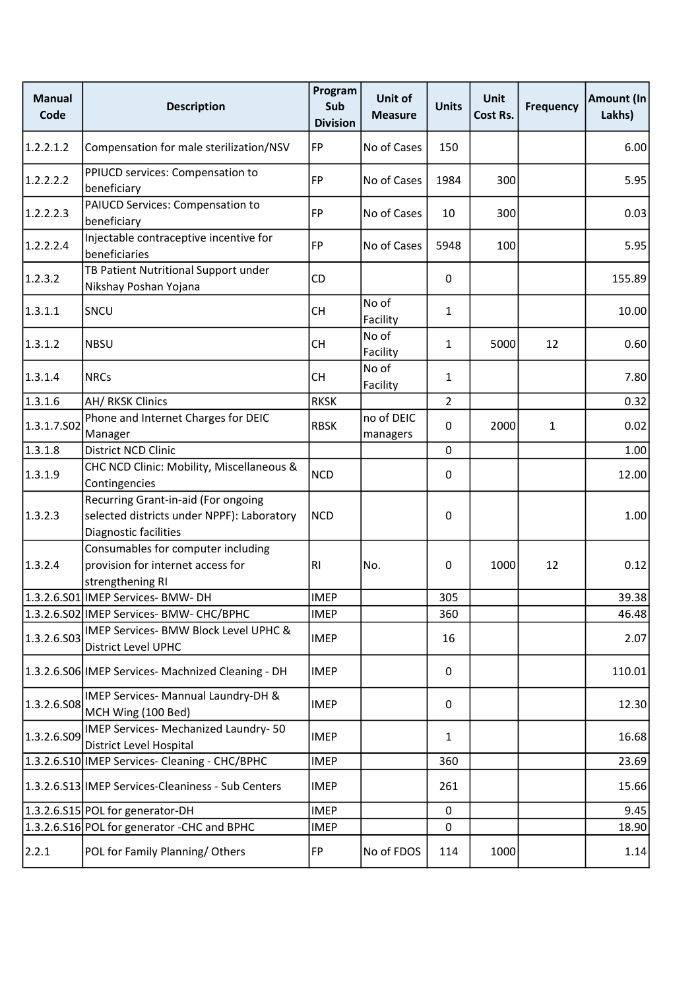| <b>Manual</b><br>Code | <b>Description</b>                                                                                         | Program<br>Sub<br><b>Division</b> | Unit of<br><b>Measure</b> | <b>Units</b>   | <b>Unit</b><br>Cost Rs. | <b>Frequency</b> | Amount (In<br>Lakhs) |
|-----------------------|------------------------------------------------------------------------------------------------------------|-----------------------------------|---------------------------|----------------|-------------------------|------------------|----------------------|
| 1.2.2.1.2             | Compensation for male sterilization/NSV                                                                    | FP                                | No of Cases               | 150            |                         |                  | 6.00                 |
| 1.2.2.2.2             | PPIUCD services: Compensation to<br>beneficiary                                                            | FP                                | No of Cases               | 1984           | 300                     |                  | 5.95                 |
| 1.2.2.2.3             | PAIUCD Services: Compensation to<br>beneficiary                                                            | FP                                | No of Cases               | 10             | 300                     |                  | 0.03                 |
| 1.2.2.2.4             | Injectable contraceptive incentive for<br>beneficiaries                                                    | <b>FP</b>                         | No of Cases               | 5948           | 100                     |                  | 5.95                 |
| 1.2.3.2               | TB Patient Nutritional Support under<br>Nikshay Poshan Yojana                                              | CD                                |                           | 0              |                         |                  | 155.89               |
| 1.3.1.1               | SNCU                                                                                                       | <b>CH</b>                         | No of<br>Facility         | $\mathbf{1}$   |                         |                  | 10.00                |
| 1.3.1.2               | <b>NBSU</b>                                                                                                | <b>CH</b>                         | No of<br>Facility         | 1              | 5000                    | 12               | 0.60                 |
| 1.3.1.4               | <b>NRCs</b>                                                                                                | CH.                               | No of<br>Facility         | 1              |                         |                  | 7.80                 |
| 1.3.1.6               | <b>AH/ RKSK Clinics</b>                                                                                    | <b>RKSK</b>                       |                           | $\overline{2}$ |                         |                  | 0.32                 |
| 1.3.1.7.502           | Phone and Internet Charges for DEIC<br>Manager                                                             | <b>RBSK</b>                       | no of DEIC<br>managers    | 0              | 2000                    | $\mathbf{1}$     | 0.02                 |
| 1.3.1.8               | District NCD Clinic                                                                                        |                                   |                           | 0              |                         |                  | 1.00                 |
| 1.3.1.9               | CHC NCD Clinic: Mobility, Miscellaneous &<br>Contingencies                                                 | <b>NCD</b>                        |                           | 0              |                         |                  | 12.00                |
| 1.3.2.3               | Recurring Grant-in-aid (For ongoing<br>selected districts under NPPF): Laboratory<br>Diagnostic facilities | <b>NCD</b>                        |                           | 0              |                         |                  | 1.00                 |
| 1.3.2.4               | Consumables for computer including<br>provision for internet access for<br>strengthening RI                | RI                                | No.                       | 0              | 1000                    | 12               | 0.12                 |
|                       | 1.3.2.6.S01 IMEP Services- BMW- DH                                                                         | <b>IMEP</b>                       |                           | 305            |                         |                  | 39.38                |
|                       | 1.3.2.6.S02 IMEP Services- BMW- CHC/BPHC                                                                   | <b>IMEP</b>                       |                           | 360            |                         |                  | 46.48                |
| 1.3.2.6.503           | IMEP Services- BMW Block Level UPHC &<br>District Level UPHC                                               | <b>IMEP</b>                       |                           | 16             |                         |                  | 2.07                 |
|                       | 1.3.2.6.S06 IMEP Services- Machnized Cleaning - DH                                                         | <b>IMEP</b>                       |                           | 0              |                         |                  | 110.01               |
| 1.3.2.6.508           | IMEP Services- Mannual Laundry-DH &<br>MCH Wing (100 Bed)                                                  | <b>IMEP</b>                       |                           | 0              |                         |                  | 12.30                |
| 1.3.2.6.509           | IMEP Services- Mechanized Laundry- 50<br>District Level Hospital                                           | <b>IMEP</b>                       |                           | $\mathbf{1}$   |                         |                  | 16.68                |
|                       | 1.3.2.6.S10 IMEP Services- Cleaning - CHC/BPHC                                                             | <b>IMEP</b>                       |                           | 360            |                         |                  | 23.69                |
|                       | 1.3.2.6.S13 IMEP Services-Cleaniness - Sub Centers                                                         | <b>IMEP</b>                       |                           | 261            |                         |                  | 15.66                |
|                       | 1.3.2.6.S15 POL for generator-DH                                                                           | <b>IMEP</b>                       |                           | 0              |                         |                  | 9.45                 |
|                       | 1.3.2.6.S16 POL for generator -CHC and BPHC                                                                | <b>IMEP</b>                       |                           | 0              |                         |                  | 18.90                |
| 2.2.1                 | POL for Family Planning/Others                                                                             | FP                                | No of FDOS                | 114            | 1000                    |                  | 1.14                 |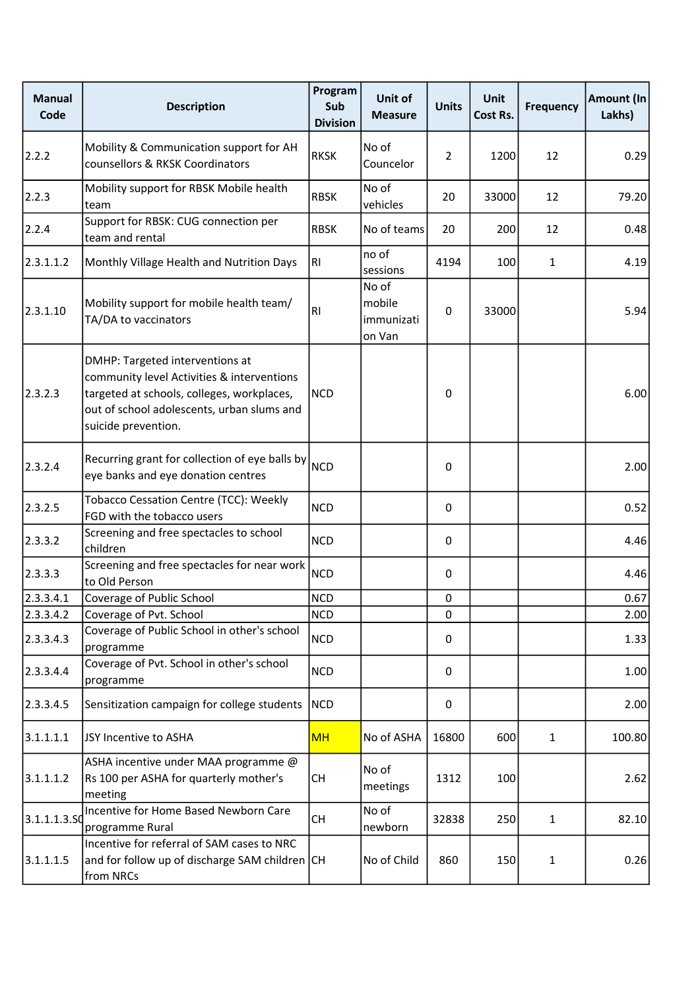| <b>Manual</b><br>Code | <b>Description</b>                                                                                                                                                                               | Program<br>Sub<br><b>Division</b> | Unit of<br><b>Measure</b>               | <b>Units</b>   | <b>Unit</b><br>Cost Rs. | <b>Frequency</b> | Amount (In<br>Lakhs) |
|-----------------------|--------------------------------------------------------------------------------------------------------------------------------------------------------------------------------------------------|-----------------------------------|-----------------------------------------|----------------|-------------------------|------------------|----------------------|
| 2.2.2                 | Mobility & Communication support for AH<br>counsellors & RKSK Coordinators                                                                                                                       | <b>RKSK</b>                       | No of<br>Councelor                      | $\overline{2}$ | 1200                    | 12               | 0.29                 |
| 2.2.3                 | Mobility support for RBSK Mobile health<br>team                                                                                                                                                  | <b>RBSK</b>                       | No of<br>vehicles                       | 20             | 33000                   | 12               | 79.20                |
| 2.2.4                 | Support for RBSK: CUG connection per<br>team and rental                                                                                                                                          | <b>RBSK</b>                       | No of teams                             | 20             | 200                     | 12               | 0.48                 |
| 2.3.1.1.2             | Monthly Village Health and Nutrition Days                                                                                                                                                        | RI                                | no of<br>sessions                       | 4194           | 100                     | $\mathbf{1}$     | 4.19                 |
| 2.3.1.10              | Mobility support for mobile health team/<br>TA/DA to vaccinators                                                                                                                                 | R <sub>l</sub>                    | No of<br>mobile<br>immunizati<br>on Van | 0              | 33000                   |                  | 5.94                 |
| 2.3.2.3               | DMHP: Targeted interventions at<br>community level Activities & interventions<br>targeted at schools, colleges, workplaces,<br>out of school adolescents, urban slums and<br>suicide prevention. | <b>NCD</b>                        |                                         | 0              |                         |                  | 6.00                 |
| 2.3.2.4               | Recurring grant for collection of eye balls by<br>eye banks and eye donation centres                                                                                                             | <b>NCD</b>                        |                                         | $\Omega$       |                         |                  | 2.00                 |
| 2.3.2.5               | Tobacco Cessation Centre (TCC): Weekly<br>FGD with the tobacco users                                                                                                                             | <b>NCD</b>                        |                                         | $\Omega$       |                         |                  | 0.52                 |
| 2.3.3.2               | Screening and free spectacles to school<br>children                                                                                                                                              | <b>NCD</b>                        |                                         | 0              |                         |                  | 4.46                 |
| 2.3.3.3               | Screening and free spectacles for near work<br>to Old Person                                                                                                                                     | <b>NCD</b>                        |                                         | $\Omega$       |                         |                  | 4.46                 |
| 2.3.3.4.1             | Coverage of Public School                                                                                                                                                                        | <b>NCD</b>                        |                                         | $\mathbf 0$    |                         |                  | 0.67                 |
| 2.3.3.4.2             | Coverage of Pvt. School                                                                                                                                                                          | NCD                               |                                         | $\mathbf 0$    |                         |                  | 2.00                 |
| 2.3.3.4.3             | Coverage of Public School in other's school<br>programme                                                                                                                                         | <b>NCD</b>                        |                                         | 0              |                         |                  | 1.33                 |
| 2.3.3.4.4             | Coverage of Pvt. School in other's school<br>programme                                                                                                                                           | <b>NCD</b>                        |                                         | 0              |                         |                  | 1.00                 |
| 2.3.3.4.5             | Sensitization campaign for college students                                                                                                                                                      | <b>NCD</b>                        |                                         | 0              |                         |                  | 2.00                 |
| 3.1.1.1.1             | JSY Incentive to ASHA                                                                                                                                                                            | MH                                | No of ASHA                              | 16800          | 600                     | $\mathbf{1}$     | 100.80               |
| 3.1.1.1.2             | ASHA incentive under MAA programme @<br>Rs 100 per ASHA for quarterly mother's<br>meeting                                                                                                        | <b>CH</b>                         | No of<br>meetings                       | 1312           | 100                     |                  | 2.62                 |
| 3.1.1.1.3.5C          | Incentive for Home Based Newborn Care<br>programme Rural                                                                                                                                         | <b>CH</b>                         | No of<br>newborn                        | 32838          | 250                     | $\mathbf{1}$     | 82.10                |
| 3.1.1.1.5             | Incentive for referral of SAM cases to NRC<br>and for follow up of discharge SAM children CH<br>from NRCs                                                                                        |                                   | No of Child                             | 860            | 150                     | $\mathbf{1}$     | 0.26                 |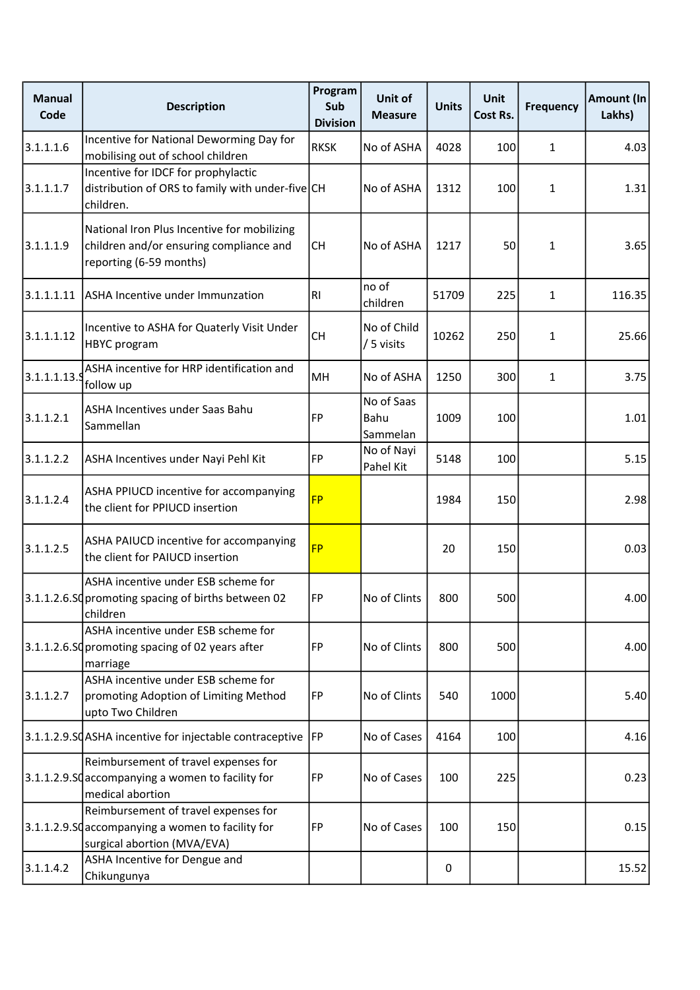| <b>Manual</b><br>Code | <b>Description</b>                                                                                                       | Program<br>Sub<br><b>Division</b> | Unit of<br><b>Measure</b>      | <b>Units</b> | <b>Unit</b><br>Cost Rs. | <b>Frequency</b> | Amount (In<br>Lakhs) |
|-----------------------|--------------------------------------------------------------------------------------------------------------------------|-----------------------------------|--------------------------------|--------------|-------------------------|------------------|----------------------|
| 3.1.1.1.6             | Incentive for National Deworming Day for<br>mobilising out of school children                                            | <b>RKSK</b>                       | No of ASHA                     | 4028         | 100                     | $\mathbf{1}$     | 4.03                 |
| 3.1.1.1.7             | Incentive for IDCF for prophylactic<br>distribution of ORS to family with under-five CH<br>children.                     |                                   | No of ASHA                     | 1312         | 100                     | $\mathbf{1}$     | 1.31                 |
| 3.1.1.1.9             | National Iron Plus Incentive for mobilizing<br>children and/or ensuring compliance and<br>reporting (6-59 months)        | <b>CH</b>                         | No of ASHA                     | 1217         | 50                      | 1                | 3.65                 |
| 3.1.1.1.11            | ASHA Incentive under Immunzation                                                                                         | RI.                               | no of<br>children              | 51709        | 225                     | $\mathbf{1}$     | 116.35               |
| 3.1.1.1.12            | Incentive to ASHA for Quaterly Visit Under<br><b>HBYC</b> program                                                        | <b>CH</b>                         | No of Child<br>/ 5 visits      | 10262        | 250                     | 1                | 25.66                |
| 3.1.1.1.13.5          | ASHA incentive for HRP identification and<br>follow up                                                                   | MH                                | No of ASHA                     | 1250         | 300                     | $\mathbf{1}$     | 3.75                 |
| 3.1.1.2.1             | ASHA Incentives under Saas Bahu<br>Sammellan                                                                             | <b>FP</b>                         | No of Saas<br>Bahu<br>Sammelan | 1009         | 100                     |                  | 1.01                 |
| 3.1.1.2.2             | ASHA Incentives under Nayi Pehl Kit                                                                                      | FP                                | No of Nayi<br>Pahel Kit        | 5148         | 100                     |                  | 5.15                 |
| 3.1.1.2.4             | ASHA PPIUCD incentive for accompanying<br>the client for PPIUCD insertion                                                | <b>FP</b>                         |                                | 1984         | 150                     |                  | 2.98                 |
| 3.1.1.2.5             | ASHA PAIUCD incentive for accompanying<br>the client for PAIUCD insertion                                                | <b>FP</b>                         |                                | 20           | 150                     |                  | 0.03                 |
|                       | ASHA incentive under ESB scheme for<br>3.1.1.2.6.Sd promoting spacing of births between 02<br>children                   | FP                                | No of Clints                   | 800          | 500                     |                  | 4.00                 |
|                       | ASHA incentive under ESB scheme for<br>3.1.1.2.6.SQ promoting spacing of 02 years after<br>marriage                      | FP                                | No of Clints                   | 800          | 500                     |                  | 4.00                 |
| 3.1.1.2.7             | ASHA incentive under ESB scheme for<br>promoting Adoption of Limiting Method<br>upto Two Children                        | FP                                | No of Clints                   | 540          | 1000                    |                  | 5.40                 |
|                       | 3.1.1.2.9.SQASHA incentive for injectable contraceptive FP                                                               |                                   | No of Cases                    | 4164         | 100                     |                  | 4.16                 |
|                       | Reimbursement of travel expenses for<br>3.1.1.2.9.SQ accompanying a women to facility for<br>medical abortion            | FP                                | No of Cases                    | 100          | 225                     |                  | 0.23                 |
|                       | Reimbursement of travel expenses for<br>3.1.1.2.9.SQ accompanying a women to facility for<br>surgical abortion (MVA/EVA) | FP                                | No of Cases                    | 100          | 150                     |                  | 0.15                 |
| 3.1.1.4.2             | ASHA Incentive for Dengue and<br>Chikungunya                                                                             |                                   |                                | 0            |                         |                  | 15.52                |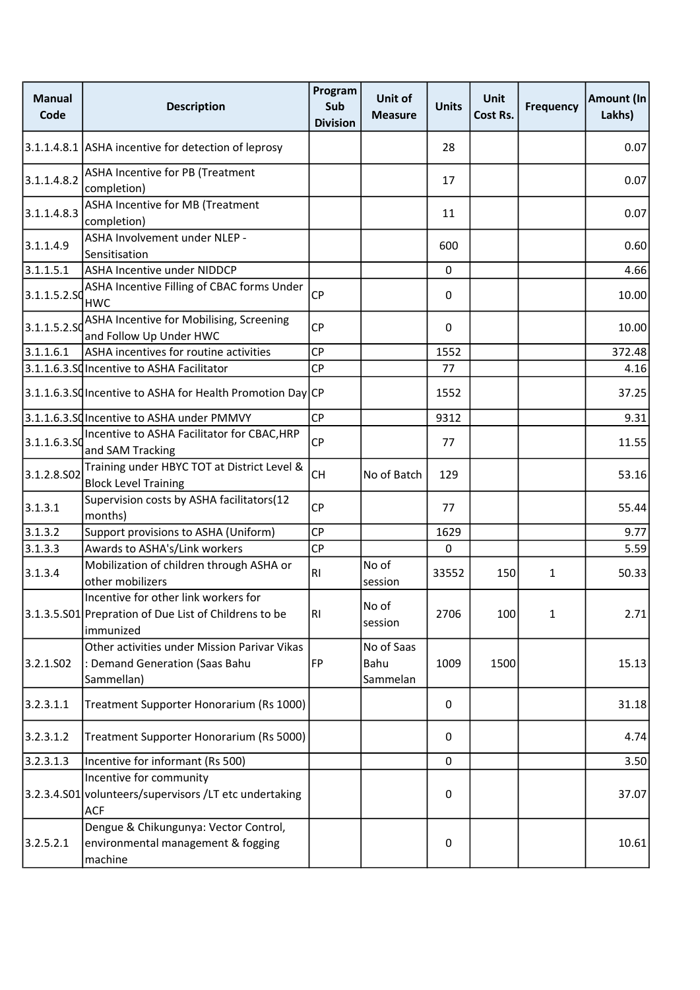| <b>Manual</b><br>Code | <b>Description</b>                                                                                         | Program<br>Sub<br><b>Division</b> | Unit of<br><b>Measure</b>      | <b>Units</b> | <b>Unit</b><br>Cost Rs. | <b>Frequency</b> | <b>Amount (In</b><br>Lakhs) |
|-----------------------|------------------------------------------------------------------------------------------------------------|-----------------------------------|--------------------------------|--------------|-------------------------|------------------|-----------------------------|
|                       | 3.1.1.4.8.1 ASHA incentive for detection of leprosy                                                        |                                   |                                | 28           |                         |                  | 0.07                        |
| 3.1.1.4.8.2           | ASHA Incentive for PB (Treatment<br>completion)                                                            |                                   |                                | 17           |                         |                  | 0.07                        |
| 3.1.1.4.8.3           | ASHA Incentive for MB (Treatment<br>completion)                                                            |                                   |                                | 11           |                         |                  | 0.07                        |
| 3.1.1.4.9             | ASHA Involvement under NLEP -<br>Sensitisation                                                             |                                   |                                | 600          |                         |                  | 0.60                        |
| 3.1.1.5.1             | ASHA Incentive under NIDDCP                                                                                |                                   |                                | $\mathbf 0$  |                         |                  | 4.66                        |
| 3.1.1.5.2.SC          | ASHA Incentive Filling of CBAC forms Under<br><b>HWC</b>                                                   | <b>CP</b>                         |                                | 0            |                         |                  | 10.00                       |
| 3.1.1.5.2.SC          | ASHA Incentive for Mobilising, Screening<br>and Follow Up Under HWC                                        | <b>CP</b>                         |                                | $\Omega$     |                         |                  | 10.00                       |
| 3.1.1.6.1             | ASHA incentives for routine activities                                                                     | <b>CP</b>                         |                                | 1552         |                         |                  | 372.48                      |
|                       | 3.1.1.6.3.SQ Incentive to ASHA Facilitator                                                                 | <b>CP</b>                         |                                | 77           |                         |                  | 4.16                        |
|                       | 3.1.1.6.3.SQ Incentive to ASHA for Health Promotion Day CP                                                 |                                   |                                | 1552         |                         |                  | 37.25                       |
|                       | 3.1.1.6.3.SQIncentive to ASHA under PMMVY                                                                  | <b>CP</b>                         |                                | 9312         |                         |                  | 9.31                        |
| 3.1.1.6.3.SC          | Incentive to ASHA Facilitator for CBAC, HRP<br>and SAM Tracking                                            | CP                                |                                | 77           |                         |                  | 11.55                       |
| 3.1.2.8.S02           | Training under HBYC TOT at District Level &<br><b>Block Level Training</b>                                 | <b>CH</b>                         | No of Batch                    | 129          |                         |                  | 53.16                       |
| 3.1.3.1               | Supervision costs by ASHA facilitators(12<br>months)                                                       | <b>CP</b>                         |                                | 77           |                         |                  | 55.44                       |
| 3.1.3.2               | Support provisions to ASHA (Uniform)                                                                       | CP                                |                                | 1629         |                         |                  | 9.77                        |
| 3.1.3.3               | Awards to ASHA's/Link workers                                                                              | CP                                |                                | $\pmb{0}$    |                         |                  | 5.59                        |
| 3.1.3.4               | Mobilization of children through ASHA or<br>other mobilizers                                               | R <sub>l</sub>                    | No of<br>session               | 33552        | 150                     | $\mathbf{1}$     | 50.33                       |
|                       | Incentive for other link workers for<br>3.1.3.5.S01 Prepration of Due List of Childrens to be<br>immunized | RI                                | No of<br>session               | 2706         | 100                     | $\mathbf{1}$     | 2.71                        |
| 3.2.1.502             | Other activities under Mission Parivar Vikas<br>: Demand Generation (Saas Bahu<br>Sammellan)               | FP                                | No of Saas<br>Bahu<br>Sammelan | 1009         | 1500                    |                  | 15.13                       |
| 3.2.3.1.1             | Treatment Supporter Honorarium (Rs 1000)                                                                   |                                   |                                | 0            |                         |                  | 31.18                       |
| 3.2.3.1.2             | Treatment Supporter Honorarium (Rs 5000)                                                                   |                                   |                                | 0            |                         |                  | 4.74                        |
| 3.2.3.1.3             | Incentive for informant (Rs 500)                                                                           |                                   |                                | 0            |                         |                  | 3.50                        |
|                       | Incentive for community<br>3.2.3.4.S01 volunteers/supervisors /LT etc undertaking<br><b>ACF</b>            |                                   |                                | 0            |                         |                  | 37.07                       |
| 3.2.5.2.1             | Dengue & Chikungunya: Vector Control,<br>environmental management & fogging<br>machine                     |                                   |                                | 0            |                         |                  | 10.61                       |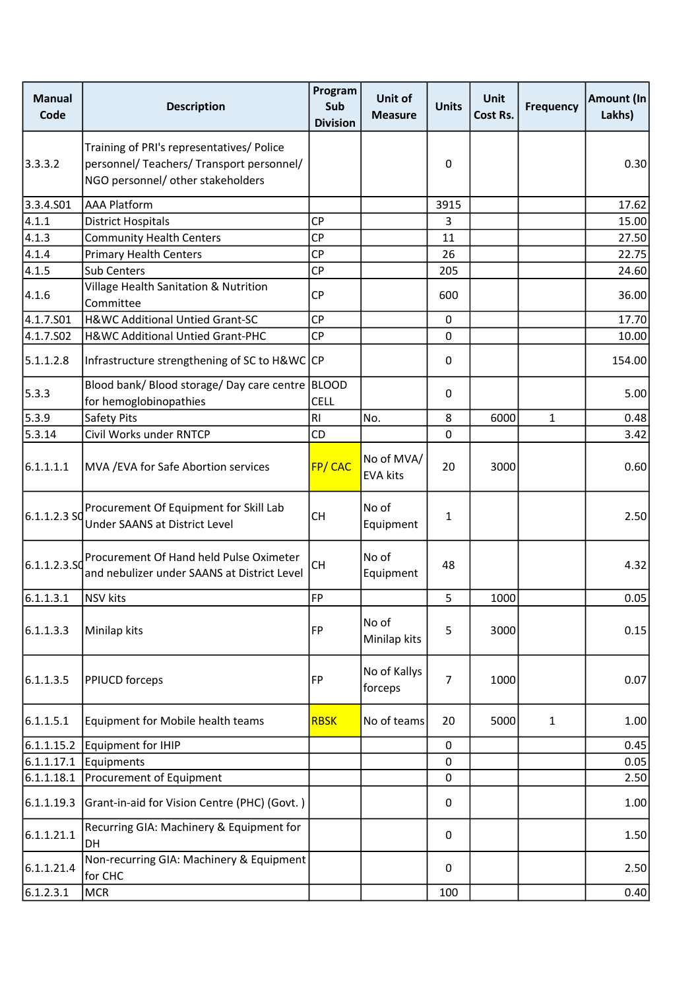| <b>Manual</b><br>Code | <b>Description</b>                                                                                                          | Program<br>Sub<br><b>Division</b> | Unit of<br><b>Measure</b>     | <b>Units</b> | <b>Unit</b><br>Cost Rs. | <b>Frequency</b> | Amount (In<br>Lakhs) |
|-----------------------|-----------------------------------------------------------------------------------------------------------------------------|-----------------------------------|-------------------------------|--------------|-------------------------|------------------|----------------------|
| 3.3.3.2               | Training of PRI's representatives/ Police<br>personnel/ Teachers/ Transport personnel/<br>NGO personnel/ other stakeholders |                                   |                               | 0            |                         |                  | 0.30                 |
| 3.3.4.501             | <b>AAA Platform</b>                                                                                                         |                                   |                               | 3915         |                         |                  | 17.62                |
| 4.1.1                 | <b>District Hospitals</b>                                                                                                   | <b>CP</b>                         |                               | 3            |                         |                  | 15.00                |
| 4.1.3                 | <b>Community Health Centers</b>                                                                                             | <b>CP</b>                         |                               | 11           |                         |                  | 27.50                |
| 4.1.4                 | <b>Primary Health Centers</b>                                                                                               | CP                                |                               | 26           |                         |                  | 22.75                |
| 4.1.5                 | <b>Sub Centers</b>                                                                                                          | <b>CP</b>                         |                               | 205          |                         |                  | 24.60                |
| 4.1.6                 | Village Health Sanitation & Nutrition<br>Committee                                                                          | <b>CP</b>                         |                               | 600          |                         |                  | 36.00                |
| 4.1.7.S01             | H&WC Additional Untied Grant-SC                                                                                             | <b>CP</b>                         |                               | $\mathbf 0$  |                         |                  | 17.70                |
| 4.1.7.S02             | H&WC Additional Untied Grant-PHC                                                                                            | <b>CP</b>                         |                               | $\pmb{0}$    |                         |                  | 10.00                |
| 5.1.1.2.8             | Infrastructure strengthening of SC to H&WC CP                                                                               |                                   |                               | 0            |                         |                  | 154.00               |
| 5.3.3                 | Blood bank/ Blood storage/ Day care centre   BLOOD<br>for hemoglobinopathies                                                | <b>CELL</b>                       |                               | 0            |                         |                  | 5.00                 |
| 5.3.9                 | Safety Pits                                                                                                                 | R <sub>l</sub>                    | No.                           | 8            | 6000                    | $\mathbf{1}$     | 0.48                 |
| 5.3.14                | Civil Works under RNTCP                                                                                                     | CD                                |                               | $\mathbf 0$  |                         |                  | 3.42                 |
| 6.1.1.1.1             | MVA / EVA for Safe Abortion services                                                                                        | <b>FP/CAC</b>                     | No of MVA/<br><b>EVA kits</b> | 20           | 3000                    |                  | 0.60                 |
| $6.1.1.2.3$ SC        | Procurement Of Equipment for Skill Lab<br>Under SAANS at District Level                                                     | <b>CH</b>                         | No of<br>Equipment            | $\mathbf{1}$ |                         |                  | 2.50                 |
| 6.1.1.2.3.50          | Procurement Of Hand held Pulse Oximeter<br>and nebulizer under SAANS at District Level                                      | <b>CH</b>                         | No of<br>Equipment            | 48           |                         |                  | 4.32                 |
| 6.1.1.3.1             | <b>NSV</b> kits                                                                                                             | FP                                |                               | 5            | 1000                    |                  | 0.05                 |
| 6.1.1.3.3             | Minilap kits                                                                                                                | FP                                | No of<br>Minilap kits         | 5            | 3000                    |                  | 0.15                 |
| 6.1.1.3.5             | <b>PPIUCD</b> forceps                                                                                                       | FP                                | No of Kallys<br>forceps       | 7            | 1000                    |                  | 0.07                 |
| 6.1.1.5.1             | Equipment for Mobile health teams                                                                                           | <b>RBSK</b>                       | No of teams                   | 20           | 5000                    | $\mathbf{1}$     | 1.00                 |
| 6.1.1.15.2            | Equipment for IHIP                                                                                                          |                                   |                               | 0            |                         |                  | 0.45                 |
| 6.1.1.17.1            | Equipments                                                                                                                  |                                   |                               | 0            |                         |                  | 0.05                 |
| 6.1.1.18.1            | Procurement of Equipment                                                                                                    |                                   |                               | 0            |                         |                  | 2.50                 |
| 6.1.1.19.3            | Grant-in-aid for Vision Centre (PHC) (Govt.)                                                                                |                                   |                               | 0            |                         |                  | 1.00                 |
| 6.1.1.21.1            | Recurring GIA: Machinery & Equipment for<br><b>DH</b>                                                                       |                                   |                               | 0            |                         |                  | 1.50                 |
| 6.1.1.21.4            | Non-recurring GIA: Machinery & Equipment<br>for CHC                                                                         |                                   |                               | 0            |                         |                  | 2.50                 |
| 6.1.2.3.1             | <b>MCR</b>                                                                                                                  |                                   |                               | 100          |                         |                  | 0.40                 |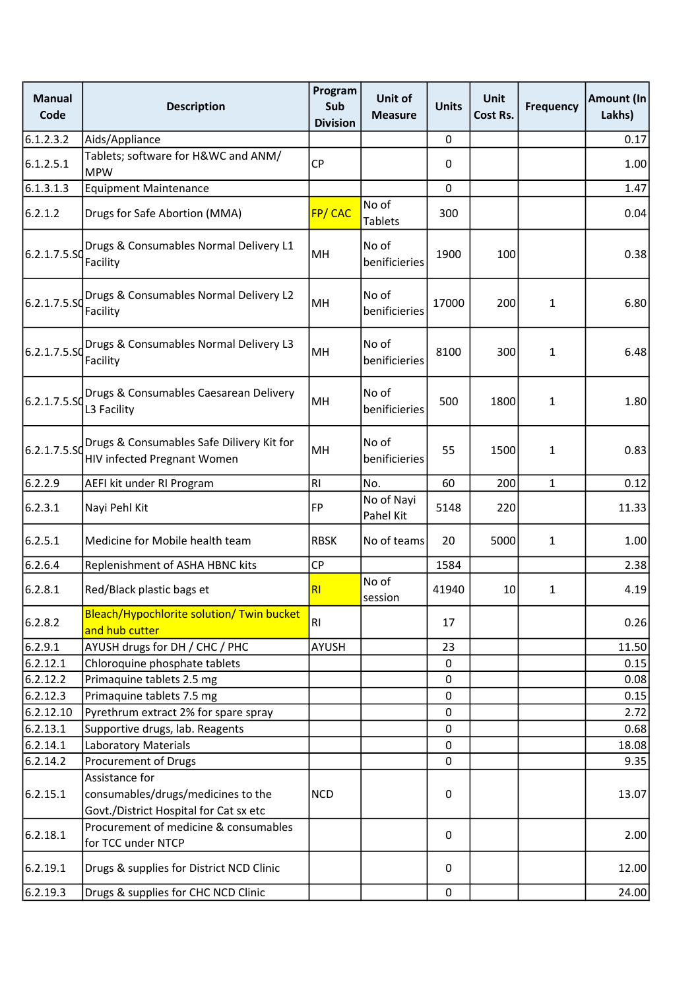| <b>Manual</b><br>Code | <b>Description</b>                                                           | Program<br>Sub<br><b>Division</b> | Unit of<br><b>Measure</b> | <b>Units</b> | Unit<br>Cost Rs. | <b>Frequency</b> | <b>Amount (In</b><br>Lakhs) |
|-----------------------|------------------------------------------------------------------------------|-----------------------------------|---------------------------|--------------|------------------|------------------|-----------------------------|
| 6.1.2.3.2             | Aids/Appliance                                                               |                                   |                           | 0            |                  |                  | 0.17                        |
| 6.1.2.5.1             | Tablets; software for H&WC and ANM/<br><b>MPW</b>                            | <b>CP</b>                         |                           | 0            |                  |                  | 1.00                        |
| 6.1.3.1.3             | <b>Equipment Maintenance</b>                                                 |                                   |                           | 0            |                  |                  | 1.47                        |
| 6.2.1.2               | Drugs for Safe Abortion (MMA)                                                | FP/CAC                            | No of<br><b>Tablets</b>   | 300          |                  |                  | 0.04                        |
| 6.2.1.7.5.50          | Drugs & Consumables Normal Delivery L1<br>Facility                           | MH                                | No of<br>benificieries    | 1900         | 100              |                  | 0.38                        |
| 6.2.1.7.5.50          | Drugs & Consumables Normal Delivery L2<br>Facility                           | MH                                | No of<br>benificieries    | 17000        | 200              | 1                | 6.80                        |
| 6.2.1.7.5.SO          | Drugs & Consumables Normal Delivery L3<br>Facility                           | MH                                | No of<br>benificieries    | 8100         | 300              | 1                | 6.48                        |
| 6.2.1.7.5.50          | Drugs & Consumables Caesarean Delivery<br>L3 Facility                        | MH                                | No of<br>benificieries    | 500          | 1800             | 1                | 1.80                        |
| 6.2.1.7.5.SO          | Drugs & Consumables Safe Dilivery Kit for<br>HIV infected Pregnant Women     | MH                                | No of<br>benificieries    | 55           | 1500             | 1                | 0.83                        |
| 6.2.2.9               | AEFI kit under RI Program                                                    | <b>RI</b>                         | No.                       | 60           | 200              | $\mathbf{1}$     | 0.12                        |
| 6.2.3.1               | Nayi Pehl Kit                                                                | <b>FP</b>                         | No of Nayi<br>Pahel Kit   | 5148         | 220              |                  | 11.33                       |
| 6.2.5.1               | Medicine for Mobile health team                                              | <b>RBSK</b>                       | No of teams               | 20           | 5000             | 1                | 1.00                        |
| 6.2.6.4               | Replenishment of ASHA HBNC kits                                              | CP                                |                           | 1584         |                  |                  | 2.38                        |
| 6.2.8.1               | Red/Black plastic bags et                                                    | R <sub>l</sub>                    | No of<br>session          | 41940        | 10               | 1                | 4.19                        |
| 6.2.8.2               | Bleach/Hypochlorite solution/ Twin bucket<br>and hub cutter                  | <b>RI</b>                         |                           | 17           |                  |                  | 0.26                        |
| 6.2.9.1               | AYUSH drugs for DH / CHC / PHC                                               | AYUSH                             |                           | 23           |                  |                  | 11.50                       |
| 6.2.12.1              | Chloroquine phosphate tablets                                                |                                   |                           | $\mathbf 0$  |                  |                  | 0.15                        |
| 6.2.12.2              | Primaquine tablets 2.5 mg                                                    |                                   |                           | 0            |                  |                  | 0.08                        |
| 6.2.12.3              | Primaquine tablets 7.5 mg                                                    |                                   |                           | 0            |                  |                  | 0.15                        |
| 6.2.12.10             | Pyrethrum extract 2% for spare spray                                         |                                   |                           | $\pmb{0}$    |                  |                  | 2.72                        |
| 6.2.13.1              | Supportive drugs, lab. Reagents                                              |                                   |                           | $\mathbf{0}$ |                  |                  | 0.68                        |
| 6.2.14.1              | <b>Laboratory Materials</b>                                                  |                                   |                           | 0            |                  |                  | 18.08                       |
| 6.2.14.2              | Procurement of Drugs<br>Assistance for                                       |                                   |                           | 0            |                  |                  | 9.35                        |
| 6.2.15.1              | consumables/drugs/medicines to the<br>Govt./District Hospital for Cat sx etc | <b>NCD</b>                        |                           | 0            |                  |                  | 13.07                       |
| 6.2.18.1              | Procurement of medicine & consumables<br>for TCC under NTCP                  |                                   |                           | 0            |                  |                  | 2.00                        |
| 6.2.19.1              | Drugs & supplies for District NCD Clinic                                     |                                   |                           | 0            |                  |                  | 12.00                       |
| 6.2.19.3              | Drugs & supplies for CHC NCD Clinic                                          |                                   |                           | $\pmb{0}$    |                  |                  | 24.00                       |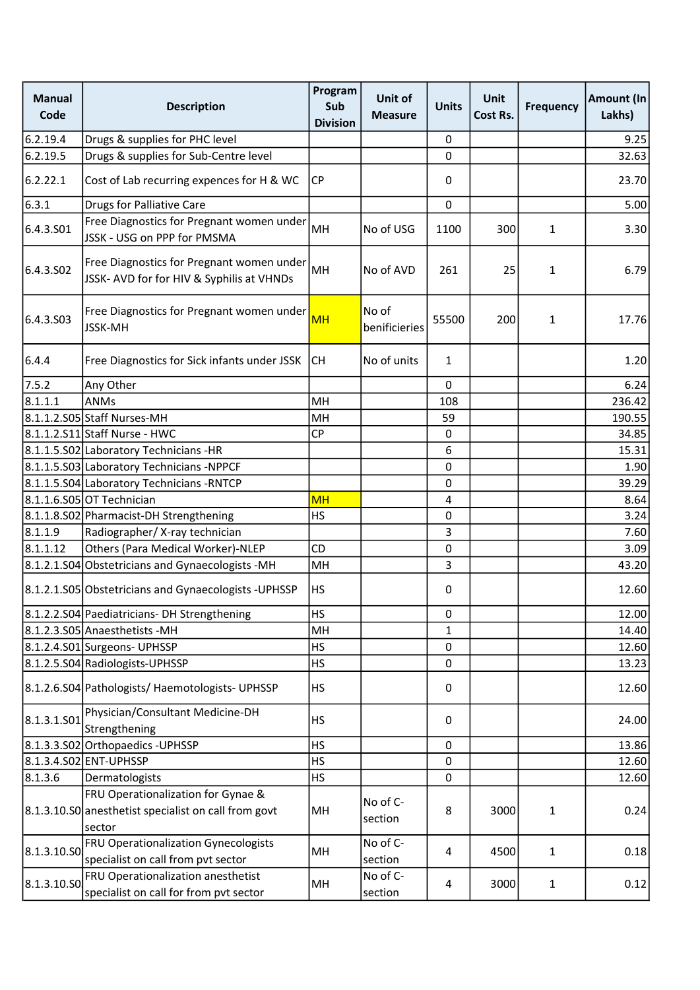| <b>Manual</b><br>Code | <b>Description</b>                                                                                   | Program<br>Sub<br><b>Division</b> | Unit of<br><b>Measure</b> | <b>Units</b> | <b>Unit</b><br>Cost Rs. | <b>Frequency</b> | Amount (In<br>Lakhs) |
|-----------------------|------------------------------------------------------------------------------------------------------|-----------------------------------|---------------------------|--------------|-------------------------|------------------|----------------------|
| 6.2.19.4              | Drugs & supplies for PHC level                                                                       |                                   |                           | 0            |                         |                  | 9.25                 |
| 6.2.19.5              | Drugs & supplies for Sub-Centre level                                                                |                                   |                           | $\mathbf 0$  |                         |                  | 32.63                |
| 6.2.22.1              | Cost of Lab recurring expences for H & WC                                                            | <b>CP</b>                         |                           | 0            |                         |                  | 23.70                |
| 6.3.1                 | <b>Drugs for Palliative Care</b>                                                                     |                                   |                           | 0            |                         |                  | 5.00                 |
| 6.4.3.501             | Free Diagnostics for Pregnant women under<br>JSSK - USG on PPP for PMSMA                             | MH                                | No of USG                 | 1100         | 300                     | $\mathbf{1}$     | 3.30                 |
| 6.4.3.502             | Free Diagnostics for Pregnant women under<br>JSSK- AVD for for HIV & Syphilis at VHNDs               | MH                                | No of AVD                 | 261          | 25                      | 1                | 6.79                 |
| 6.4.3.503             | Free Diagnostics for Pregnant women under<br>JSSK-MH                                                 | <b>MH</b>                         | No of<br>benificieries    | 55500        | 200                     | $\mathbf{1}$     | 17.76                |
| 6.4.4                 | Free Diagnostics for Sick infants under JSSK                                                         | <b>CH</b>                         | No of units               | 1            |                         |                  | 1.20                 |
| 7.5.2                 | Any Other                                                                                            |                                   |                           | 0            |                         |                  | 6.24                 |
| 8.1.1.1               | <b>ANMs</b>                                                                                          | MH                                |                           | 108          |                         |                  | 236.42               |
|                       | 8.1.1.2.S05 Staff Nurses-MH                                                                          | MH                                |                           | 59           |                         |                  | 190.55               |
|                       | 8.1.1.2.S11 Staff Nurse - HWC                                                                        | CP                                |                           | 0            |                         |                  | 34.85                |
|                       | 8.1.1.5.S02 Laboratory Technicians -HR                                                               |                                   |                           | 6            |                         |                  | 15.31                |
|                       | 8.1.1.5.S03 Laboratory Technicians -NPPCF                                                            |                                   |                           | 0            |                         |                  | 1.90                 |
|                       | 8.1.1.5.S04 Laboratory Technicians -RNTCP                                                            |                                   |                           | 0            |                         |                  | 39.29                |
|                       | 8.1.1.6.S05 OT Technician                                                                            | <b>MH</b>                         |                           | 4            |                         |                  | 8.64                 |
|                       | 8.1.1.8.S02 Pharmacist-DH Strengthening                                                              | <b>HS</b>                         |                           | 0            |                         |                  | 3.24                 |
| 8.1.1.9               | Radiographer/X-ray technician                                                                        |                                   |                           | 3            |                         |                  | 7.60                 |
| 8.1.1.12              | Others (Para Medical Worker)-NLEP                                                                    | CD                                |                           | 0            |                         |                  | 3.09                 |
|                       | 8.1.2.1.S04 Obstetricians and Gynaecologists -MH                                                     | MH                                |                           | 3            |                         |                  | 43.20                |
|                       | 8.1.2.1.S05 Obstetricians and Gynaecologists - UPHSSP                                                | HS                                |                           | 0            |                         |                  | 12.60                |
|                       | 8.1.2.2.S04 Paediatricians-DH Strengthening                                                          | HS                                |                           | 0            |                         |                  | 12.00                |
|                       | 8.1.2.3.S05 Anaesthetists - MH                                                                       | MH                                |                           | $\mathbf{1}$ |                         |                  | 14.40                |
|                       | 8.1.2.4.S01 Surgeons- UPHSSP                                                                         | <b>HS</b>                         |                           | 0            |                         |                  | 12.60                |
|                       | 8.1.2.5.S04 Radiologists-UPHSSP                                                                      | <b>HS</b>                         |                           | 0            |                         |                  | 13.23                |
|                       | 8.1.2.6.S04 Pathologists/ Haemotologists- UPHSSP                                                     | <b>HS</b>                         |                           | 0            |                         |                  | 12.60                |
| 8.1.3.1.501           | Physician/Consultant Medicine-DH<br>Strengthening                                                    | <b>HS</b>                         |                           | 0            |                         |                  | 24.00                |
|                       | 8.1.3.3.S02 Orthopaedics - UPHSSP                                                                    | <b>HS</b>                         |                           | 0            |                         |                  | 13.86                |
|                       | 8.1.3.4.S02 ENT-UPHSSP                                                                               | <b>HS</b>                         |                           | 0            |                         |                  | 12.60                |
| 8.1.3.6               | Dermatologists                                                                                       | <b>HS</b>                         |                           | 0            |                         |                  | 12.60                |
|                       | FRU Operationalization for Gynae &<br>8.1.3.10.S0 anesthetist specialist on call from govt<br>sector | MH                                | No of C-<br>section       | 8            | 3000                    | $\mathbf{1}$     | 0.24                 |
| 8.1.3.10.S0           | FRU Operationalization Gynecologists<br>specialist on call from pvt sector                           | MH                                | No of C-<br>section       | 4            | 4500                    | $\mathbf{1}$     | 0.18                 |
| 8.1.3.10.50           | FRU Operationalization anesthetist<br>specialist on call for from pvt sector                         | MH                                | No of C-<br>section       | 4            | 3000                    | $\mathbf{1}$     | 0.12                 |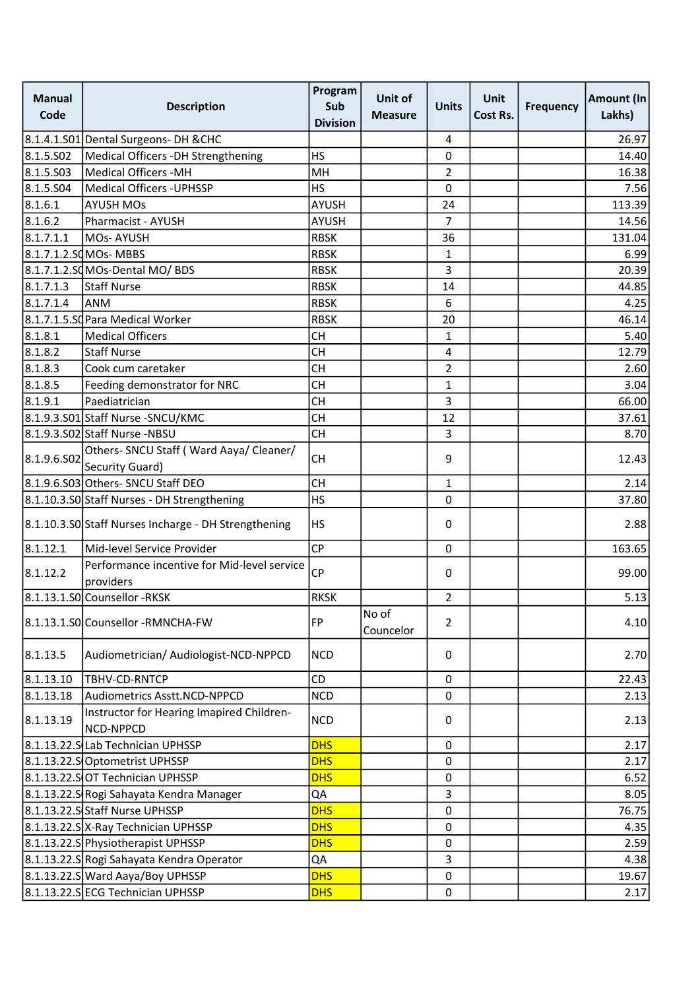| <b>Manual</b><br>Code | <b>Description</b>                                         | Program<br>Sub<br><b>Division</b> | Unit of<br><b>Measure</b> | <b>Units</b>   | <b>Unit</b><br>Cost Rs. | <b>Frequency</b> | Amount (In<br>Lakhs) |
|-----------------------|------------------------------------------------------------|-----------------------------------|---------------------------|----------------|-------------------------|------------------|----------------------|
|                       | 8.1.4.1.S01 Dental Surgeons-DH & CHC                       |                                   |                           | 4              |                         |                  | 26.97                |
| 8.1.5.S02             | Medical Officers -DH Strengthening                         | <b>HS</b>                         |                           | 0              |                         |                  | 14.40                |
| 8.1.5.503             | Medical Officers - MH                                      | MH                                |                           | $\overline{2}$ |                         |                  | 16.38                |
| 8.1.5.504             | Medical Officers - UPHSSP                                  | <b>HS</b>                         |                           | 0              |                         |                  | 7.56                 |
| 8.1.6.1               | <b>AYUSH MOs</b>                                           | <b>AYUSH</b>                      |                           | 24             |                         |                  | 113.39               |
| 8.1.6.2               | Pharmacist - AYUSH                                         | <b>AYUSH</b>                      |                           | $\overline{7}$ |                         |                  | 14.56                |
| 8.1.7.1.1             | MOs-AYUSH                                                  | <b>RBSK</b>                       |                           | 36             |                         |                  | 131.04               |
|                       | 8.1.7.1.2.SQMOs- MBBS                                      | <b>RBSK</b>                       |                           | $\mathbf{1}$   |                         |                  | 6.99                 |
|                       | 8.1.7.1.2.SCMOs-Dental MO/BDS                              | <b>RBSK</b>                       |                           | 3              |                         |                  | 20.39                |
| 8.1.7.1.3             | Staff Nurse                                                | <b>RBSK</b>                       |                           | 14             |                         |                  | 44.85                |
| 8.1.7.1.4             | <b>ANM</b>                                                 | <b>RBSK</b>                       |                           | 6              |                         |                  | 4.25                 |
|                       | 8.1.7.1.5.SC Para Medical Worker                           | <b>RBSK</b>                       |                           | 20             |                         |                  | 46.14                |
| 8.1.8.1               | <b>Medical Officers</b>                                    | <b>CH</b>                         |                           | 1              |                         |                  | 5.40                 |
| 8.1.8.2               | <b>Staff Nurse</b>                                         | <b>CH</b>                         |                           | 4              |                         |                  | 12.79                |
| 8.1.8.3               | Cook cum caretaker                                         | <b>CH</b>                         |                           | $\overline{2}$ |                         |                  | 2.60                 |
| 8.1.8.5               | Feeding demonstrator for NRC                               | <b>CH</b>                         |                           | 1              |                         |                  | 3.04                 |
| 8.1.9.1               | Paediatrician                                              | <b>CH</b>                         |                           | 3              |                         |                  | 66.00                |
|                       | 8.1.9.3.S01 Staff Nurse - SNCU/KMC                         | <b>CH</b>                         |                           | 12             |                         |                  | 37.61                |
|                       | 8.1.9.3.S02 Staff Nurse -NBSU                              | <b>CH</b>                         |                           | 3              |                         |                  | 8.70                 |
| 8.1.9.6.S02           | Others- SNCU Staff (Ward Aaya/ Cleaner/<br>Security Guard) | <b>CH</b>                         |                           | 9              |                         |                  | 12.43                |
|                       | 8.1.9.6.S03 Others- SNCU Staff DEO                         | <b>CH</b>                         |                           | $\mathbf{1}$   |                         |                  | 2.14                 |
|                       | 8.1.10.3.S0 Staff Nurses - DH Strengthening                | <b>HS</b>                         |                           | 0              |                         |                  | 37.80                |
|                       | 8.1.10.3.S0 Staff Nurses Incharge - DH Strengthening       | <b>HS</b>                         |                           | 0              |                         |                  | 2.88                 |
| 8.1.12.1              | Mid-level Service Provider                                 | <b>CP</b>                         |                           | 0              |                         |                  | 163.65               |
| 8.1.12.2              | Performance incentive for Mid-level service<br>providers   | <b>CP</b>                         |                           | 0              |                         |                  | 99.00                |
|                       | 8.1.13.1.SO Counsellor - RKSK                              | <b>RKSK</b>                       |                           | $\overline{2}$ |                         |                  | 5.13                 |
|                       | 8.1.13.1.S0 Counsellor - RMNCHA-FW                         | <b>FP</b>                         | No of<br>Councelor        | $\overline{2}$ |                         |                  | 4.10                 |
| 8.1.13.5              | Audiometrician/ Audiologist-NCD-NPPCD                      | <b>NCD</b>                        |                           | 0              |                         |                  | 2.70                 |
| 8.1.13.10             | TBHV-CD-RNTCP                                              | CD                                |                           | $\Omega$       |                         |                  | 22.43                |
| 8.1.13.18             | Audiometrics Asstt.NCD-NPPCD                               | <b>NCD</b>                        |                           | 0              |                         |                  | 2.13                 |
| 8.1.13.19             | Instructor for Hearing Imapired Children-<br>NCD-NPPCD     | <b>NCD</b>                        |                           | 0              |                         |                  | 2.13                 |
|                       | 8.1.13.22.S Lab Technician UPHSSP                          | <b>DHS</b>                        |                           | 0              |                         |                  | 2.17                 |
|                       | 8.1.13.22.SOptometrist UPHSSP                              | <b>DHS</b>                        |                           | 0              |                         |                  | 2.17                 |
|                       | 8.1.13.22.SOT Technician UPHSSP                            | <b>DHS</b>                        |                           | 0              |                         |                  | 6.52                 |
|                       | 8.1.13.22.S Rogi Sahayata Kendra Manager                   | QA                                |                           | 3              |                         |                  | 8.05                 |
|                       | 8.1.13.22.S Staff Nurse UPHSSP                             | <b>DHS</b>                        |                           | 0              |                         |                  | 76.75                |
|                       | 8.1.13.22.S X-Ray Technician UPHSSP                        | <b>DHS</b>                        |                           | 0              |                         |                  | 4.35                 |
|                       | 8.1.13.22.S Physiotherapist UPHSSP                         | <b>DHS</b>                        |                           | 0              |                         |                  | 2.59                 |
|                       | 8.1.13.22.S Rogi Sahayata Kendra Operator                  | QA                                |                           | 3              |                         |                  | 4.38                 |
|                       | 8.1.13.22.S Ward Aaya/Boy UPHSSP                           | <b>DHS</b>                        |                           | 0              |                         |                  | 19.67                |
|                       | 8.1.13.22.S ECG Technician UPHSSP                          | <b>DHS</b>                        |                           | 0              |                         |                  | 2.17                 |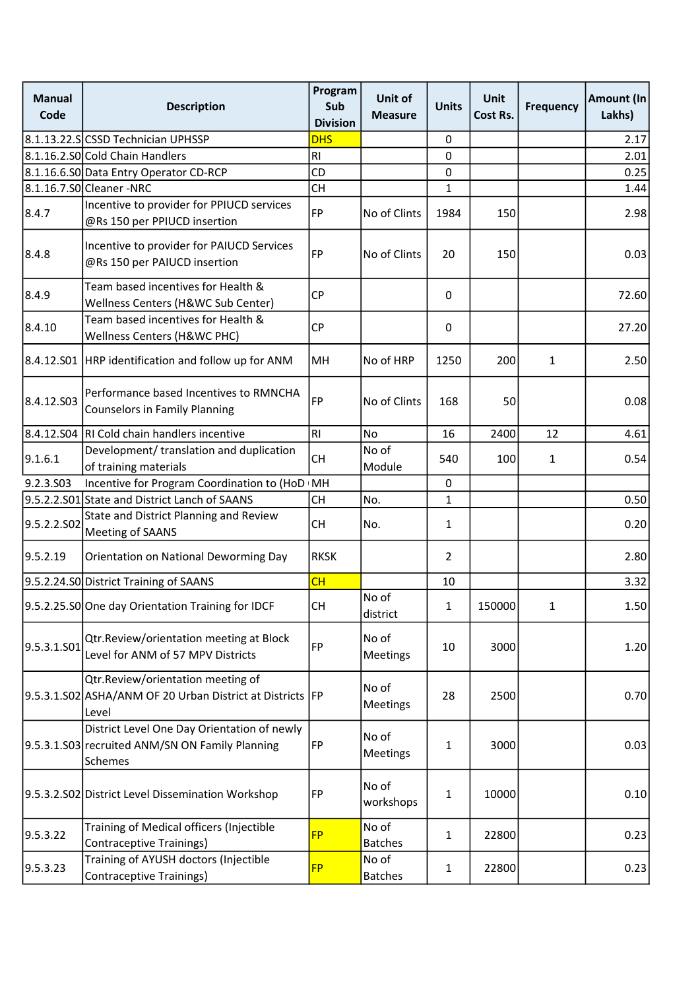| <b>Manual</b><br>Code | <b>Description</b>                                                                                        | Program<br>Sub<br><b>Division</b> | Unit of<br><b>Measure</b> | <b>Units</b>   | <b>Unit</b><br>Cost Rs. | <b>Frequency</b> | <b>Amount (In</b><br>Lakhs) |
|-----------------------|-----------------------------------------------------------------------------------------------------------|-----------------------------------|---------------------------|----------------|-------------------------|------------------|-----------------------------|
|                       | 8.1.13.22.S CSSD Technician UPHSSP                                                                        | <b>DHS</b>                        |                           | $\pmb{0}$      |                         |                  | 2.17                        |
|                       | 8.1.16.2.SO Cold Chain Handlers                                                                           | R <sub>l</sub>                    |                           | $\mathbf 0$    |                         |                  | 2.01                        |
|                       | 8.1.16.6.SO Data Entry Operator CD-RCP                                                                    | CD                                |                           | 0              |                         |                  | 0.25                        |
|                       | 8.1.16.7.SO Cleaner - NRC                                                                                 | <b>CH</b>                         |                           | 1              |                         |                  | 1.44                        |
| 8.4.7                 | Incentive to provider for PPIUCD services<br>@Rs 150 per PPIUCD insertion                                 | <b>FP</b>                         | No of Clints              | 1984           | 150                     |                  | 2.98                        |
| 8.4.8                 | Incentive to provider for PAIUCD Services<br>@Rs 150 per PAIUCD insertion                                 | <b>FP</b>                         | No of Clints              | 20             | 150                     |                  | 0.03                        |
| 8.4.9                 | Team based incentives for Health &<br>Wellness Centers (H&WC Sub Center)                                  | <b>CP</b>                         |                           | 0              |                         |                  | 72.60                       |
| 8.4.10                | Team based incentives for Health &<br>Wellness Centers (H&WC PHC)                                         | CP                                |                           | 0              |                         |                  | 27.20                       |
|                       | 8.4.12.S01   HRP identification and follow up for ANM                                                     | MH                                | No of HRP                 | 1250           | 200                     | $\mathbf{1}$     | 2.50                        |
| 8.4.12.S03            | Performance based Incentives to RMNCHA<br><b>Counselors in Family Planning</b>                            | <b>FP</b>                         | No of Clints              | 168            | 50                      |                  | 0.08                        |
|                       | 8.4.12.504 RI Cold chain handlers incentive                                                               | R <sub>l</sub>                    | No                        | 16             | 2400                    | 12               | 4.61                        |
| 9.1.6.1               | Development/ translation and duplication<br>of training materials                                         | <b>CH</b>                         | No of<br>Module           | 540            | 100                     | $\mathbf{1}$     | 0.54                        |
| 9.2.3.S03             | Incentive for Program Coordination to (HoD IMH                                                            |                                   |                           | $\mathbf 0$    |                         |                  |                             |
|                       | 9.5.2.2.S01 State and District Lanch of SAANS                                                             | <b>CH</b>                         | No.                       | 1              |                         |                  | 0.50                        |
| 9.5.2.2.SO2           | State and District Planning and Review<br>Meeting of SAANS                                                | <b>CH</b>                         | No.                       | $\mathbf{1}$   |                         |                  | 0.20                        |
| 9.5.2.19              | Orientation on National Deworming Day                                                                     | <b>RKSK</b>                       |                           | $\overline{2}$ |                         |                  | 2.80                        |
|                       | 9.5.2.24.S0 District Training of SAANS                                                                    | CH                                |                           | 10             |                         |                  | 3.32                        |
|                       | 9.5.2.25.S0 One day Orientation Training for IDCF                                                         | СH                                | No of<br>district         | 1              | 150000                  | 1                | 1.50                        |
| 9.5.3.1.S01           | Qtr.Review/orientation meeting at Block<br>Level for ANM of 57 MPV Districts                              | <b>FP</b>                         | No of<br>Meetings         | 10             | 3000                    |                  | 1.20                        |
|                       | Qtr.Review/orientation meeting of<br>9.5.3.1.S02 ASHA/ANM OF 20 Urban District at Districts FP<br>Level   |                                   | No of<br>Meetings         | 28             | 2500                    |                  | 0.70                        |
|                       | District Level One Day Orientation of newly<br>9.5.3.1.S03 recruited ANM/SN ON Family Planning<br>Schemes | FP                                | No of<br>Meetings         | 1              | 3000                    |                  | 0.03                        |
|                       | 9.5.3.2.S02 District Level Dissemination Workshop                                                         | FP                                | No of<br>workshops        | $\mathbf{1}$   | 10000                   |                  | 0.10                        |
| 9.5.3.22              | Training of Medical officers (Injectible<br><b>Contraceptive Trainings)</b>                               | <b>FP</b>                         | No of<br><b>Batches</b>   | 1              | 22800                   |                  | 0.23                        |
| 9.5.3.23              | Training of AYUSH doctors (Injectible<br>Contraceptive Trainings)                                         | <b>FP</b>                         | No of<br><b>Batches</b>   | $\mathbf{1}$   | 22800                   |                  | 0.23                        |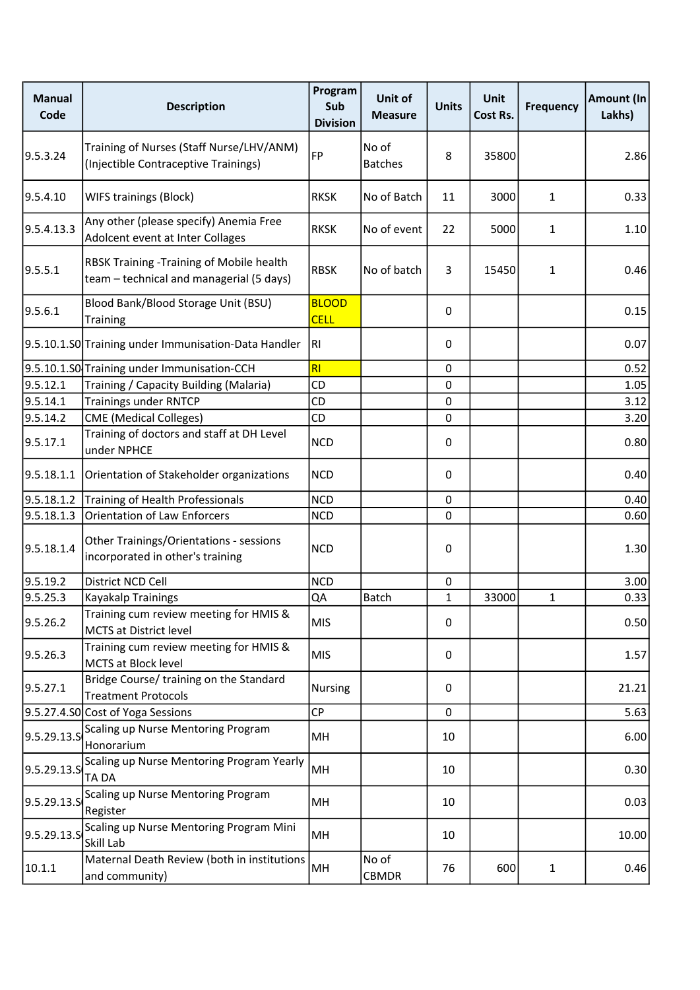| <b>Manual</b><br>Code | <b>Description</b>                                                                   | Program<br>Sub<br><b>Division</b> | Unit of<br><b>Measure</b> | <b>Units</b> | <b>Unit</b><br>Cost Rs. | <b>Frequency</b> | Amount (In<br>Lakhs) |
|-----------------------|--------------------------------------------------------------------------------------|-----------------------------------|---------------------------|--------------|-------------------------|------------------|----------------------|
| 9.5.3.24              | Training of Nurses (Staff Nurse/LHV/ANM)<br>(Injectible Contraceptive Trainings)     | FP                                | No of<br><b>Batches</b>   | 8            | 35800                   |                  | 2.86                 |
| 9.5.4.10              | <b>WIFS trainings (Block)</b>                                                        | <b>RKSK</b>                       | No of Batch               | 11           | 3000                    | $\mathbf{1}$     | 0.33                 |
| 9.5.4.13.3            | Any other (please specify) Anemia Free<br>Adolcent event at Inter Collages           | <b>RKSK</b>                       | No of event               | 22           | 5000                    | $\mathbf{1}$     | 1.10                 |
| 9.5.5.1               | RBSK Training -Training of Mobile health<br>team - technical and managerial (5 days) | <b>RBSK</b>                       | No of batch               | 3            | 15450                   | 1                | 0.46                 |
| 9.5.6.1               | Blood Bank/Blood Storage Unit (BSU)<br>Training                                      | <b>BLOOD</b><br><b>CELL</b>       |                           | 0            |                         |                  | 0.15                 |
|                       | 9.5.10.1.S0 Training under Immunisation-Data Handler                                 | RI                                |                           | 0            |                         |                  | 0.07                 |
|                       | 9.5.10.1.S0 Training under Immunisation-CCH                                          | <b>RI</b>                         |                           | $\mathbf 0$  |                         |                  | 0.52                 |
| 9.5.12.1              | Training / Capacity Building (Malaria)                                               | CD                                |                           | 0            |                         |                  | 1.05                 |
| 9.5.14.1              | <b>Trainings under RNTCP</b>                                                         | CD                                |                           | 0            |                         |                  | 3.12                 |
| 9.5.14.2              | <b>CME</b> (Medical Colleges)                                                        | <b>CD</b>                         |                           | 0            |                         |                  | 3.20                 |
| 9.5.17.1              | Training of doctors and staff at DH Level<br>under NPHCE                             | <b>NCD</b>                        |                           | 0            |                         |                  | 0.80                 |
| 9.5.18.1.1            | Orientation of Stakeholder organizations                                             | <b>NCD</b>                        |                           | 0            |                         |                  | 0.40                 |
| 9.5.18.1.2            | Training of Health Professionals                                                     | <b>NCD</b>                        |                           | 0            |                         |                  | 0.40                 |
| 9.5.18.1.3            | <b>Orientation of Law Enforcers</b>                                                  | <b>NCD</b>                        |                           | 0            |                         |                  | 0.60                 |
| 9.5.18.1.4            | Other Trainings/Orientations - sessions<br>incorporated in other's training          | <b>NCD</b>                        |                           | 0            |                         |                  | 1.30                 |
| 9.5.19.2              | District NCD Cell                                                                    | <b>NCD</b>                        |                           | 0            |                         |                  | 3.00                 |
| 9.5.25.3              | Kayakalp Trainings                                                                   | QA                                | Batch                     | $\mathbf{1}$ | 33000                   | $\mathbf{1}$     | 0.33                 |
| 9.5.26.2              | Training cum review meeting for HMIS &<br><b>MCTS at District level</b>              | <b>MIS</b>                        |                           | 0            |                         |                  | 0.50                 |
| 9.5.26.3              | Training cum review meeting for HMIS &<br>MCTS at Block level                        | <b>MIS</b>                        |                           | 0            |                         |                  | 1.57                 |
| 9.5.27.1              | Bridge Course/ training on the Standard<br><b>Treatment Protocols</b>                | Nursing                           |                           | 0            |                         |                  | 21.21                |
|                       | 9.5.27.4.S0 Cost of Yoga Sessions                                                    | <b>CP</b>                         |                           | 0            |                         |                  | 5.63                 |
| 9.5.29.13.5           | Scaling up Nurse Mentoring Program<br>Honorarium                                     | MH                                |                           | 10           |                         |                  | 6.00                 |
| 9.5.29.13.S           | Scaling up Nurse Mentoring Program Yearly<br>TA DA                                   | MH                                |                           | 10           |                         |                  | 0.30                 |
| 9.5.29.13.5           | Scaling up Nurse Mentoring Program<br>Register                                       | MH                                |                           | 10           |                         |                  | 0.03                 |
| 9.5.29.13.5           | Scaling up Nurse Mentoring Program Mini<br>Skill Lab                                 | MH                                |                           | 10           |                         |                  | 10.00                |
| 10.1.1                | Maternal Death Review (both in institutions<br>and community)                        | MH                                | No of<br>CBMDR            | 76           | 600                     | $\mathbf{1}$     | 0.46                 |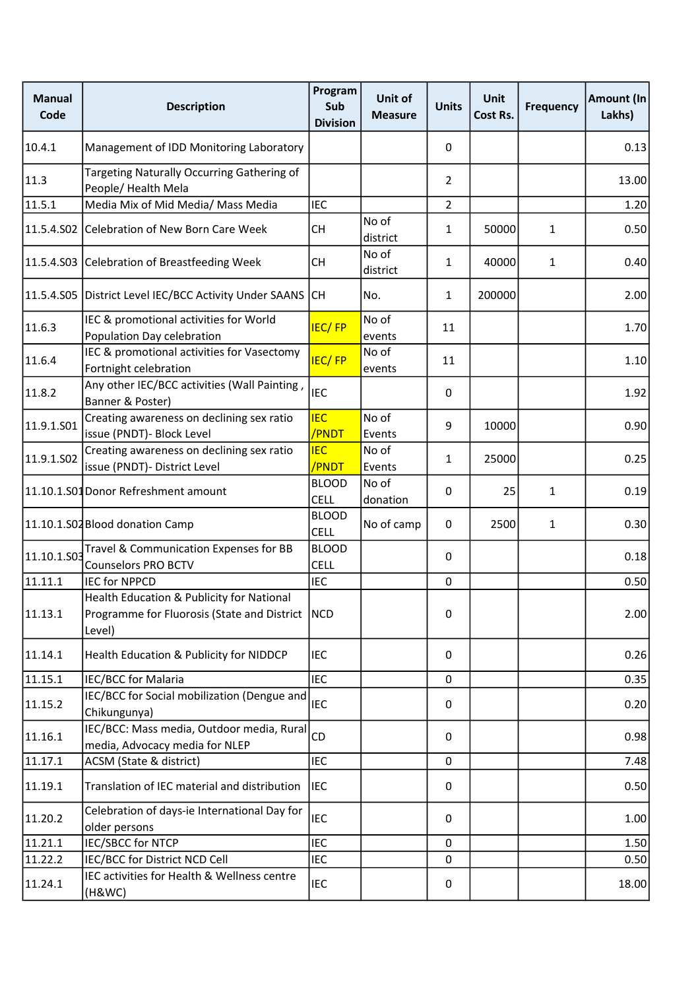| <b>Manual</b><br>Code | <b>Description</b>                                                                                       | Program<br>Sub<br><b>Division</b> | Unit of<br><b>Measure</b> | <b>Units</b>   | <b>Unit</b><br>Cost Rs. | <b>Frequency</b> | Amount (In<br>Lakhs) |
|-----------------------|----------------------------------------------------------------------------------------------------------|-----------------------------------|---------------------------|----------------|-------------------------|------------------|----------------------|
| 10.4.1                | Management of IDD Monitoring Laboratory                                                                  |                                   |                           | 0              |                         |                  | 0.13                 |
| 11.3                  | Targeting Naturally Occurring Gathering of<br>People/Health Mela                                         |                                   |                           | $\overline{2}$ |                         |                  | 13.00                |
| 11.5.1                | Media Mix of Mid Media/ Mass Media                                                                       | <b>IEC</b>                        |                           | $\overline{2}$ |                         |                  | 1.20                 |
| 11.5.4.S02            | Celebration of New Born Care Week                                                                        | <b>CH</b>                         | No of<br>district         | 1              | 50000                   | $\mathbf{1}$     | 0.50                 |
| 11.5.4.S03            | Celebration of Breastfeeding Week                                                                        | <b>CH</b>                         | No of<br>district         | 1              | 40000                   | $\mathbf{1}$     | 0.40                 |
| 11.5.4.S05            | District Level IEC/BCC Activity Under SAANS                                                              | CH                                | No.                       | 1              | 200000                  |                  | 2.00                 |
| 11.6.3                | IEC & promotional activities for World<br>Population Day celebration                                     | <b>IEC/FP</b>                     | No of<br>events           | 11             |                         |                  | 1.70                 |
| 11.6.4                | IEC & promotional activities for Vasectomy<br>Fortnight celebration                                      | <b>IEC/FP</b>                     | No of<br>events           | 11             |                         |                  | 1.10                 |
| 11.8.2                | Any other IEC/BCC activities (Wall Painting,<br>Banner & Poster)                                         | <b>IEC</b>                        |                           | 0              |                         |                  | 1.92                 |
| 11.9.1.S01            | Creating awareness on declining sex ratio<br>issue (PNDT)- Block Level                                   | <b>IEC</b><br>/PNDT               | No of<br>Events           | 9              | 10000                   |                  | 0.90                 |
| 11.9.1.S02            | Creating awareness on declining sex ratio<br>issue (PNDT)- District Level                                | <b>IEC</b><br>/PNDT               | No of<br>Events           | 1              | 25000                   |                  | 0.25                 |
|                       | 11.10.1.S01 Donor Refreshment amount                                                                     | <b>BLOOD</b><br><b>CELL</b>       | No of<br>donation         | 0              | 25                      | 1                | 0.19                 |
|                       | 11.10.1.S02 Blood donation Camp                                                                          | <b>BLOOD</b><br><b>CELL</b>       | No of camp                | 0              | 2500                    | $\mathbf{1}$     | 0.30                 |
| 11.10.1.S03           | Travel & Communication Expenses for BB<br><b>Counselors PRO BCTV</b>                                     | <b>BLOOD</b><br><b>CELL</b>       |                           | 0              |                         |                  | 0.18                 |
| 11.11.1               | <b>IEC for NPPCD</b>                                                                                     | <b>IEC</b>                        |                           | $\mathbf 0$    |                         |                  | 0.50                 |
| 11.13.1               | Health Education & Publicity for National<br>Programme for Fluorosis (State and District   NCD<br>Level) |                                   |                           | 0              |                         |                  | 2.00                 |
| 11.14.1               | Health Education & Publicity for NIDDCP                                                                  | <b>IEC</b>                        |                           | 0              |                         |                  | 0.26                 |
| 11.15.1               | IEC/BCC for Malaria                                                                                      | <b>IEC</b>                        |                           | $\mathbf 0$    |                         |                  | 0.35                 |
| 11.15.2               | IEC/BCC for Social mobilization (Dengue and<br>Chikungunya)                                              | <b>IEC</b>                        |                           | 0              |                         |                  | 0.20                 |
| 11.16.1               | IEC/BCC: Mass media, Outdoor media, Rural<br>media, Advocacy media for NLEP                              | CD                                |                           | 0              |                         |                  | 0.98                 |
| 11.17.1               | ACSM (State & district)                                                                                  | <b>IEC</b>                        |                           | $\mathbf 0$    |                         |                  | 7.48                 |
| 11.19.1               | Translation of IEC material and distribution                                                             | <b>IEC</b>                        |                           | 0              |                         |                  | 0.50                 |
| 11.20.2               | Celebration of days-ie International Day for<br>older persons                                            | <b>IEC</b>                        |                           | 0              |                         |                  | 1.00                 |
| 11.21.1               | IEC/SBCC for NTCP                                                                                        | <b>IEC</b>                        |                           | 0              |                         |                  | 1.50                 |
| 11.22.2               | IEC/BCC for District NCD Cell                                                                            | <b>IEC</b>                        |                           | 0              |                         |                  | 0.50                 |
| 11.24.1               | IEC activities for Health & Wellness centre<br>(H&WC)                                                    | <b>IEC</b>                        |                           | 0              |                         |                  | 18.00                |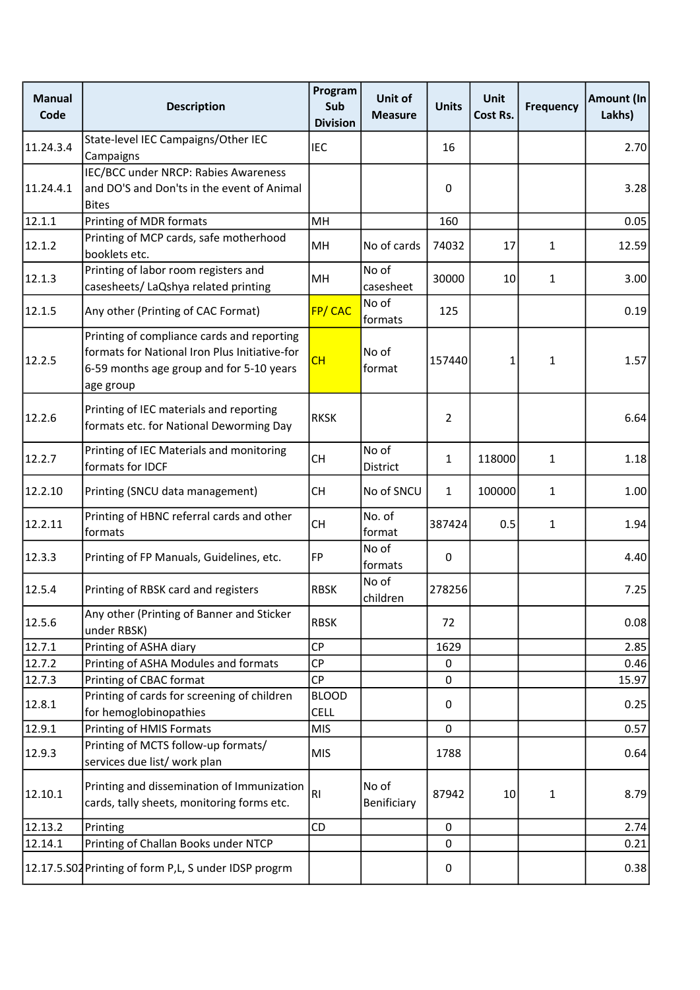| <b>Manual</b><br>Code | <b>Description</b>                                                                                                                                   | Program<br>Sub<br><b>Division</b> | Unit of<br><b>Measure</b> | <b>Units</b> | <b>Unit</b><br>Cost Rs. | <b>Frequency</b> | <b>Amount (In</b><br>Lakhs) |
|-----------------------|------------------------------------------------------------------------------------------------------------------------------------------------------|-----------------------------------|---------------------------|--------------|-------------------------|------------------|-----------------------------|
| 11.24.3.4             | State-level IEC Campaigns/Other IEC<br>Campaigns                                                                                                     | <b>IEC</b>                        |                           | 16           |                         |                  | 2.70                        |
| 11.24.4.1             | IEC/BCC under NRCP: Rabies Awareness<br>and DO'S and Don'ts in the event of Animal<br><b>Bites</b>                                                   |                                   |                           | 0            |                         |                  | 3.28                        |
| 12.1.1                | Printing of MDR formats                                                                                                                              | MH                                |                           | 160          |                         |                  | 0.05                        |
| 12.1.2                | Printing of MCP cards, safe motherhood<br>booklets etc.                                                                                              | MH                                | No of cards               | 74032        | 17                      | 1                | 12.59                       |
| 12.1.3                | Printing of labor room registers and<br>casesheets/ LaQshya related printing                                                                         | MH                                | No of<br>casesheet        | 30000        | 10                      | 1                | 3.00                        |
| 12.1.5                | Any other (Printing of CAC Format)                                                                                                                   | FP/CAC                            | No of<br>formats          | 125          |                         |                  | 0.19                        |
| 12.2.5                | Printing of compliance cards and reporting<br>formats for National Iron Plus Initiative-for<br>6-59 months age group and for 5-10 years<br>age group | CH                                | No of<br>format           | 157440       | 1                       | 1                | 1.57                        |
| 12.2.6                | Printing of IEC materials and reporting<br>formats etc. for National Deworming Day                                                                   | <b>RKSK</b>                       |                           | 2            |                         |                  | 6.64                        |
| 12.2.7                | Printing of IEC Materials and monitoring<br>formats for IDCF                                                                                         | <b>CH</b>                         | No of<br>District         | 1            | 118000                  | $\mathbf{1}$     | 1.18                        |
| 12.2.10               | Printing (SNCU data management)                                                                                                                      | <b>CH</b>                         | No of SNCU                | $\mathbf{1}$ | 100000                  | $\mathbf{1}$     | 1.00                        |
| 12.2.11               | Printing of HBNC referral cards and other<br>formats                                                                                                 | <b>CH</b>                         | No. of<br>format          | 387424       | 0.5                     | $\mathbf{1}$     | 1.94                        |
| 12.3.3                | Printing of FP Manuals, Guidelines, etc.                                                                                                             | <b>FP</b>                         | No of<br>formats          | 0            |                         |                  | 4.40                        |
| 12.5.4                | Printing of RBSK card and registers                                                                                                                  | <b>RBSK</b>                       | No of<br>children         | 278256       |                         |                  | 7.25                        |
| 12.5.6                | Any other (Printing of Banner and Sticker<br>under RBSK)                                                                                             | <b>RBSK</b>                       |                           | 72           |                         |                  | 0.08                        |
| 12.7.1                | Printing of ASHA diary                                                                                                                               | CP                                |                           | 1629         |                         |                  | 2.85                        |
| 12.7.2                | Printing of ASHA Modules and formats                                                                                                                 | CP                                |                           | 0            |                         |                  | 0.46                        |
| 12.7.3                | Printing of CBAC format                                                                                                                              | <b>CP</b>                         |                           | 0            |                         |                  | 15.97                       |
| 12.8.1                | Printing of cards for screening of children<br>for hemoglobinopathies                                                                                | <b>BLOOD</b><br><b>CELL</b>       |                           | 0            |                         |                  | 0.25                        |
| 12.9.1                | Printing of HMIS Formats                                                                                                                             | <b>MIS</b>                        |                           | $\mathbf 0$  |                         |                  | 0.57                        |
| 12.9.3                | Printing of MCTS follow-up formats/<br>services due list/ work plan                                                                                  | <b>MIS</b>                        |                           | 1788         |                         |                  | 0.64                        |
| 12.10.1               | Printing and dissemination of Immunization<br>cards, tally sheets, monitoring forms etc.                                                             | RI                                | No of<br>Benificiary      | 87942        | 10                      | 1                | 8.79                        |
| 12.13.2               | Printing                                                                                                                                             | CD                                |                           | $\mathbf 0$  |                         |                  | 2.74                        |
| 12.14.1               | Printing of Challan Books under NTCP                                                                                                                 |                                   |                           | 0            |                         |                  | 0.21                        |
|                       | 12.17.5.S02 Printing of form P,L, S under IDSP progrm                                                                                                |                                   |                           | 0            |                         |                  | 0.38                        |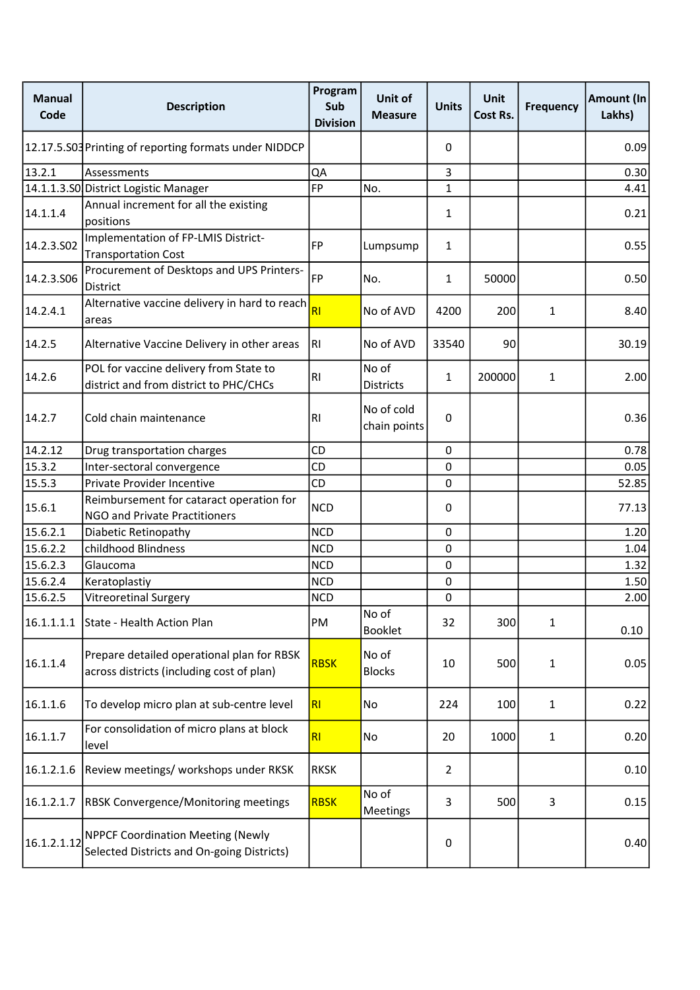| <b>Manual</b><br>Code | <b>Description</b>                                                                      | Program<br>Sub<br><b>Division</b> | Unit of<br><b>Measure</b>  | <b>Units</b>     | <b>Unit</b><br>Cost Rs. | <b>Frequency</b> | Amount (In<br>Lakhs) |
|-----------------------|-----------------------------------------------------------------------------------------|-----------------------------------|----------------------------|------------------|-------------------------|------------------|----------------------|
|                       | 12.17.5.S03 Printing of reporting formats under NIDDCP                                  |                                   |                            | 0                |                         |                  | 0.09                 |
| 13.2.1                | Assessments                                                                             | QA                                |                            | 3                |                         |                  | 0.30                 |
|                       | 14.1.1.3.S0 District Logistic Manager                                                   | <b>FP</b>                         | No.                        | 1                |                         |                  | 4.41                 |
| 14.1.1.4              | Annual increment for all the existing<br>positions                                      |                                   |                            | $\mathbf{1}$     |                         |                  | 0.21                 |
| 14.2.3.SO2            | Implementation of FP-LMIS District-<br><b>Transportation Cost</b>                       | FP                                | Lumpsump                   | 1                |                         |                  | 0.55                 |
| 14.2.3.S06            | Procurement of Desktops and UPS Printers-<br><b>District</b>                            | <b>FP</b>                         | No.                        | 1                | 50000                   |                  | 0.50                 |
| 14.2.4.1              | Alternative vaccine delivery in hard to reach<br>areas                                  | RI                                | No of AVD                  | 4200             | 200                     | 1                | 8.40                 |
| 14.2.5                | Alternative Vaccine Delivery in other areas                                             | RI                                | No of AVD                  | 33540            | 90                      |                  | 30.19                |
| 14.2.6                | POL for vaccine delivery from State to<br>district and from district to PHC/CHCs        | R1                                | No of<br><b>Districts</b>  | 1                | 200000                  | $\mathbf{1}$     | 2.00                 |
| 14.2.7                | Cold chain maintenance                                                                  | <b>RI</b>                         | No of cold<br>chain points | $\pmb{0}$        |                         |                  | 0.36                 |
| 14.2.12               | Drug transportation charges                                                             | CD                                |                            | $\boldsymbol{0}$ |                         |                  | 0.78                 |
| 15.3.2                | Inter-sectoral convergence                                                              | <b>CD</b>                         |                            | $\mathbf 0$      |                         |                  | 0.05                 |
| 15.5.3                | Private Provider Incentive                                                              | CD                                |                            | $\mathbf 0$      |                         |                  | 52.85                |
|                       | Reimbursement for cataract operation for                                                |                                   |                            |                  |                         |                  |                      |
| 15.6.1                | <b>NGO and Private Practitioners</b>                                                    | <b>NCD</b><br><b>NCD</b>          | 0                          |                  |                         | 77.13            |                      |
| 15.6.2.1              | Diabetic Retinopathy                                                                    |                                   |                            | $\mathbf 0$      |                         |                  | 1.20                 |
| 15.6.2.2              | childhood Blindness                                                                     | <b>NCD</b>                        |                            | 0                |                         |                  | 1.04                 |
| 15.6.2.3              | Glaucoma                                                                                | <b>NCD</b>                        |                            | $\mathbf 0$      |                         |                  | 1.32                 |
| 15.6.2.4              | Keratoplastiy                                                                           | <b>NCD</b>                        |                            | $\pmb{0}$        |                         |                  | 1.50                 |
| 15.6.2.5              | <b>Vitreoretinal Surgery</b>                                                            | <b>NCD</b>                        |                            | $\pmb{0}$        |                         |                  | 2.00                 |
| 16.1.1.1.1            | State - Health Action Plan                                                              | PM                                | No of<br><b>Booklet</b>    | 32               | 300                     | 1                | 0.10                 |
| 16.1.1.4              | Prepare detailed operational plan for RBSK<br>across districts (including cost of plan) | <b>RBSK</b>                       | No of<br><b>Blocks</b>     | 10               | 500                     | 1                | 0.05                 |
| 16.1.1.6              | To develop micro plan at sub-centre level                                               | R <sub>l</sub>                    | No                         | 224              | 100                     | $\mathbf{1}$     | 0.22                 |
| 16.1.1.7              | For consolidation of micro plans at block<br>level                                      | RI                                | No                         | 20               | 1000                    | $\mathbf{1}$     | 0.20                 |
| 16.1.2.1.6            | Review meetings/ workshops under RKSK                                                   | <b>RKSK</b>                       |                            | 2                |                         |                  | 0.10                 |
| 16.1.2.1.7            | RBSK Convergence/Monitoring meetings                                                    | <b>RBSK</b>                       | No of<br>Meetings          | 3                | 500                     | 3                | 0.15                 |
| 16.1.2.1.12           | <b>NPPCF Coordination Meeting (Newly</b><br>Selected Districts and On-going Districts)  |                                   |                            | $\pmb{0}$        |                         |                  | 0.40                 |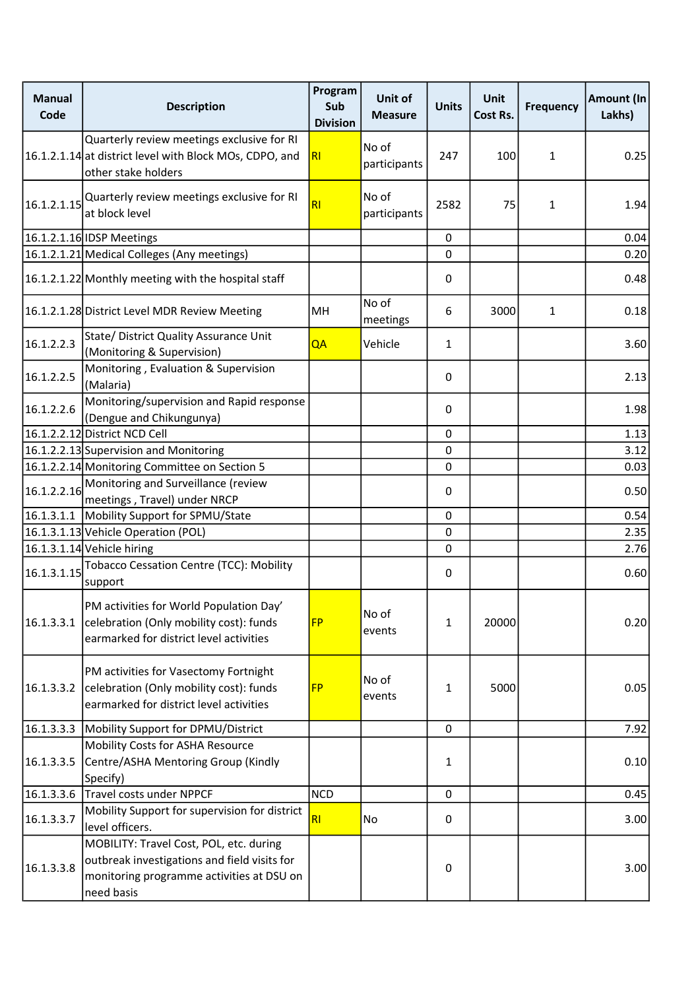| <b>Manual</b><br>Code | <b>Description</b>                                                                                                                                 | Program<br>Sub<br><b>Division</b> | Unit of<br><b>Measure</b> | <b>Units</b> | <b>Unit</b><br>Cost Rs. | <b>Frequency</b> | Amount (In<br>Lakhs) |
|-----------------------|----------------------------------------------------------------------------------------------------------------------------------------------------|-----------------------------------|---------------------------|--------------|-------------------------|------------------|----------------------|
|                       | Quarterly review meetings exclusive for RI<br>16.1.2.1.14 at district level with Block MOs, CDPO, and<br>other stake holders                       | RI                                | No of<br>participants     | 247          | 100                     | $\mathbf{1}$     | 0.25                 |
|                       | $\vert$ 16.1.2.1.15 $\vert$ Quarterly review meetings exclusive for RI<br>at block level                                                           | RI                                | No of<br>participants     | 2582         | 75                      | 1                | 1.94                 |
|                       | 16.1.2.1.16 IDSP Meetings                                                                                                                          |                                   |                           | 0            |                         |                  | 0.04                 |
|                       | 16.1.2.1.21 Medical Colleges (Any meetings)                                                                                                        |                                   |                           | 0            |                         |                  | 0.20                 |
|                       | 16.1.2.1.22 Monthly meeting with the hospital staff                                                                                                |                                   |                           | 0            |                         |                  | 0.48                 |
|                       | 16.1.2.1.28 District Level MDR Review Meeting                                                                                                      | MH                                | No of<br>meetings         | 6            | 3000                    | $\mathbf{1}$     | 0.18                 |
| 16.1.2.2.3            | State/ District Quality Assurance Unit<br>(Monitoring & Supervision)                                                                               | QA                                | Vehicle                   | 1            |                         |                  | 3.60                 |
| 16.1.2.2.5            | Monitoring, Evaluation & Supervision<br>(Malaria)                                                                                                  |                                   |                           | 0            |                         |                  | 2.13                 |
| 16.1.2.2.6            | Monitoring/supervision and Rapid response<br>(Dengue and Chikungunya)                                                                              |                                   |                           | 0            |                         |                  | 1.98                 |
|                       | 16.1.2.2.12 District NCD Cell                                                                                                                      |                                   |                           | 0            |                         |                  | 1.13                 |
|                       | 16.1.2.2.13 Supervision and Monitoring                                                                                                             |                                   |                           | 0            |                         |                  | 3.12                 |
|                       | 16.1.2.2.14 Monitoring Committee on Section 5                                                                                                      |                                   |                           | 0            |                         |                  | 0.03                 |
| 16.1.2.2.16           | Monitoring and Surveillance (review<br>meetings, Travel) under NRCP                                                                                |                                   |                           | 0            |                         |                  | 0.50                 |
|                       | 16.1.3.1.1   Mobility Support for SPMU/State                                                                                                       |                                   |                           | 0            |                         |                  | 0.54                 |
|                       | 16.1.3.1.13 Vehicle Operation (POL)                                                                                                                |                                   |                           | 0            |                         |                  | 2.35                 |
|                       | 16.1.3.1.14 Vehicle hiring                                                                                                                         |                                   |                           | 0            |                         |                  | 2.76                 |
| 16.1.3.1.15           | <b>Tobacco Cessation Centre (TCC): Mobility</b><br>support                                                                                         |                                   |                           | 0            |                         |                  | 0.60                 |
| 16.1.3.3.1            | PM activities for World Population Day'<br>celebration (Only mobility cost): funds<br>earmarked for district level activities                      | <b>FP</b>                         | No of<br>events           | 1            | 20000                   |                  | 0.20                 |
| 16.1.3.3.2            | PM activities for Vasectomy Fortnight<br>celebration (Only mobility cost): funds<br>earmarked for district level activities                        | <b>FP</b>                         | No of<br>events           | 1            | 5000                    |                  | 0.05                 |
| 16.1.3.3.3            | Mobility Support for DPMU/District                                                                                                                 |                                   |                           | $\mathbf 0$  |                         |                  | 7.92                 |
| 16.1.3.3.5            | Mobility Costs for ASHA Resource<br>Centre/ASHA Mentoring Group (Kindly<br>Specify)                                                                |                                   |                           | 1            |                         |                  | 0.10                 |
| 16.1.3.3.6            | Travel costs under NPPCF                                                                                                                           | <b>NCD</b>                        |                           | $\pmb{0}$    |                         |                  | 0.45                 |
| 16.1.3.3.7            | Mobility Support for supervision for district<br>level officers.                                                                                   | RI                                | No                        | 0            |                         |                  | 3.00                 |
| 16.1.3.3.8            | MOBILITY: Travel Cost, POL, etc. during<br>outbreak investigations and field visits for<br>monitoring programme activities at DSU on<br>need basis |                                   |                           | 0            |                         |                  | 3.00                 |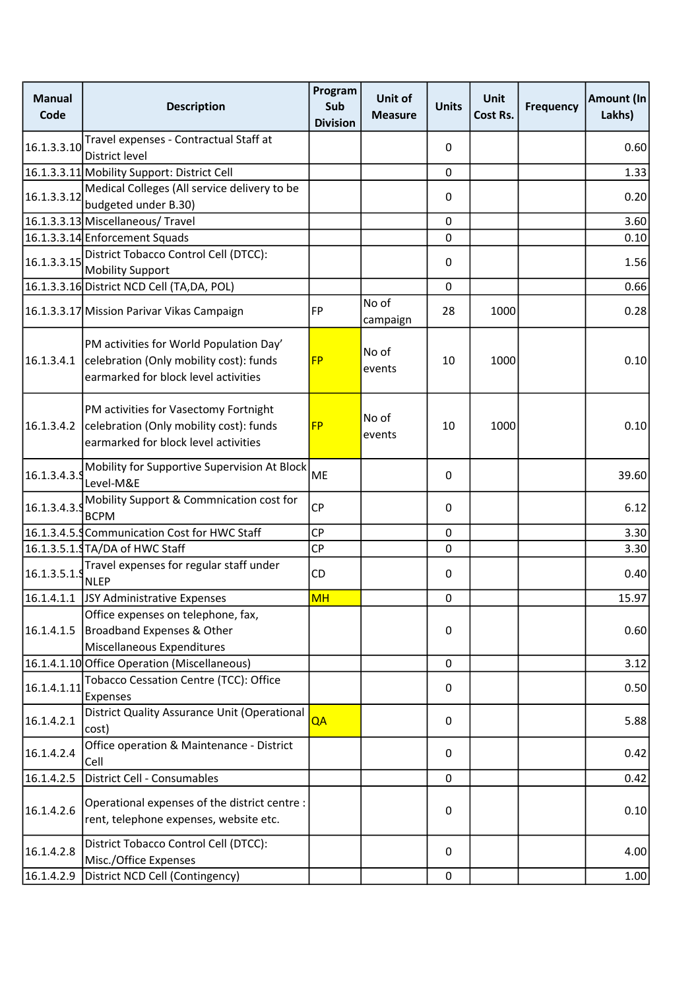| <b>Manual</b><br>Code | <b>Description</b>                                                                                                                                    | Program<br>Sub<br><b>Division</b> | Unit of<br><b>Measure</b> | <b>Units</b> | <b>Unit</b><br>Cost Rs. | <b>Frequency</b> | Amount (In<br>Lakhs) |
|-----------------------|-------------------------------------------------------------------------------------------------------------------------------------------------------|-----------------------------------|---------------------------|--------------|-------------------------|------------------|----------------------|
| 16.1.3.3.10           | Travel expenses - Contractual Staff at<br>District level                                                                                              |                                   |                           | 0            |                         |                  | 0.60                 |
|                       | 16.1.3.3.11 Mobility Support: District Cell                                                                                                           |                                   |                           | $\mathbf 0$  |                         |                  | 1.33                 |
| 16.1.3.3.12           | Medical Colleges (All service delivery to be<br>budgeted under B.30)                                                                                  |                                   |                           | 0            |                         |                  | 0.20                 |
|                       | 16.1.3.3.13 Miscellaneous/ Travel                                                                                                                     |                                   |                           | 0            |                         |                  | 3.60                 |
|                       | 16.1.3.3.14 Enforcement Squads                                                                                                                        |                                   |                           | 0            |                         |                  | 0.10                 |
| 16.1.3.3.15           | District Tobacco Control Cell (DTCC):<br><b>Mobility Support</b>                                                                                      |                                   |                           | 0            |                         |                  | 1.56                 |
|                       | 16.1.3.3.16 District NCD Cell (TA,DA, POL)                                                                                                            |                                   |                           | 0            |                         |                  | 0.66                 |
|                       | 16.1.3.3.17 Mission Parivar Vikas Campaign                                                                                                            | FP                                | No of<br>campaign         | 28           | 1000                    |                  | 0.28                 |
|                       | PM activities for World Population Day'<br>$\vert$ 16.1.3.4.1 $\vert$ celebration (Only mobility cost): funds<br>earmarked for block level activities | <b>FP</b>                         | No of<br>events           | 10           | 1000                    |                  | 0.10                 |
| 16.1.3.4.2            | PM activities for Vasectomy Fortnight<br>celebration (Only mobility cost): funds<br>earmarked for block level activities                              | <b>FP</b>                         | No of<br>events           | 10           | 1000                    |                  | 0.10                 |
| 16.1.3.4.3.9          | Mobility for Supportive Supervision At Block<br>Level-M&E                                                                                             | <b>ME</b>                         |                           | 0            |                         |                  | 39.60                |
| 16.1.3.4.3.9          | Mobility Support & Commnication cost for<br><b>BCPM</b>                                                                                               | <b>CP</b>                         |                           | 0            |                         |                  | 6.12                 |
|                       | 16.1.3.4.5. Communication Cost for HWC Staff                                                                                                          | <b>CP</b>                         |                           | $\mathbf 0$  |                         |                  | 3.30                 |
|                       | 16.1.3.5.1.9 TA/DA of HWC Staff                                                                                                                       | <b>CP</b>                         |                           | 0            |                         |                  | 3.30                 |
| 16.1.3.5.1.9          | Travel expenses for regular staff under<br><b>NLEP</b>                                                                                                | CD                                |                           | 0            |                         |                  | 0.40                 |
|                       | 16.1.4.1.1 JSY Administrative Expenses                                                                                                                | <b>MH</b>                         |                           | 0            |                         |                  | 15.97                |
| 16.1.4.1.5            | Office expenses on telephone, fax,<br>Broadband Expenses & Other<br>Miscellaneous Expenditures                                                        |                                   |                           | 0            |                         |                  | 0.60                 |
|                       | 16.1.4.1.10 Office Operation (Miscellaneous)                                                                                                          |                                   |                           | 0            |                         |                  | 3.12                 |
| 16.1.4.1.11           | Tobacco Cessation Centre (TCC): Office<br>Expenses                                                                                                    |                                   |                           | 0            |                         |                  | 0.50                 |
| 16.1.4.2.1            | District Quality Assurance Unit (Operational<br>cost)                                                                                                 | QA                                |                           | 0            |                         |                  | 5.88                 |
| 16.1.4.2.4            | Office operation & Maintenance - District<br>Cell                                                                                                     |                                   |                           | 0            |                         |                  | 0.42                 |
| 16.1.4.2.5            | District Cell - Consumables                                                                                                                           |                                   |                           | 0            |                         |                  | 0.42                 |
| 16.1.4.2.6            | Operational expenses of the district centre :<br>rent, telephone expenses, website etc.                                                               |                                   |                           | 0            |                         |                  | 0.10                 |
| 16.1.4.2.8            | District Tobacco Control Cell (DTCC):<br>Misc./Office Expenses                                                                                        |                                   |                           | 0            |                         |                  | 4.00                 |
| 16.1.4.2.9            | District NCD Cell (Contingency)                                                                                                                       |                                   |                           | 0            |                         |                  | 1.00                 |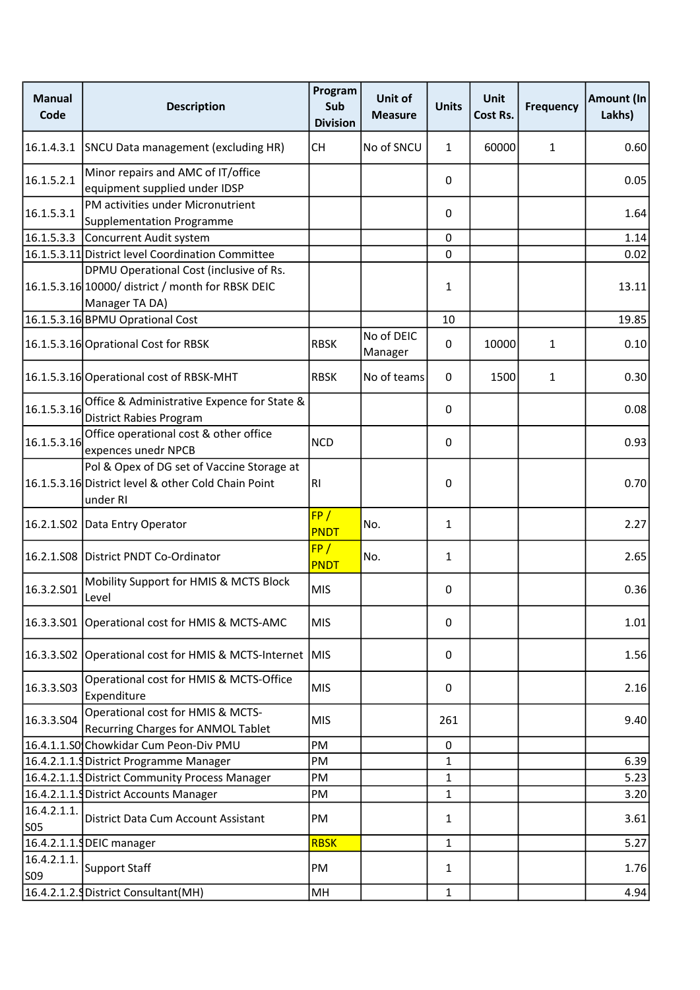| <b>Manual</b><br>Code          | <b>Description</b>                                                                                             | Program<br>Sub<br><b>Division</b> | Unit of<br><b>Measure</b> | <b>Units</b> | <b>Unit</b><br>Cost Rs. | <b>Frequency</b> | Amount (In<br>Lakhs) |
|--------------------------------|----------------------------------------------------------------------------------------------------------------|-----------------------------------|---------------------------|--------------|-------------------------|------------------|----------------------|
| 16.1.4.3.1                     | SNCU Data management (excluding HR)                                                                            | <b>CH</b>                         | No of SNCU                | 1            | 60000                   | 1                | 0.60                 |
| 16.1.5.2.1                     | Minor repairs and AMC of IT/office<br>equipment supplied under IDSP                                            |                                   |                           | 0            |                         |                  | 0.05                 |
| 16.1.5.3.1                     | PM activities under Micronutrient<br><b>Supplementation Programme</b>                                          |                                   |                           | 0            |                         |                  | 1.64                 |
|                                | 16.1.5.3.3 Concurrent Audit system                                                                             |                                   |                           | 0            |                         |                  | 1.14                 |
|                                | 16.1.5.3.11 District level Coordination Committee                                                              |                                   |                           | $\mathbf{0}$ |                         |                  | 0.02                 |
|                                | DPMU Operational Cost (inclusive of Rs.<br>16.1.5.3.16 10000/ district / month for RBSK DEIC<br>Manager TA DA) |                                   |                           | 1            |                         |                  | 13.11                |
|                                | 16.1.5.3.16 BPMU Oprational Cost                                                                               |                                   |                           | 10           |                         |                  | 19.85                |
|                                | 16.1.5.3.16 Oprational Cost for RBSK                                                                           | <b>RBSK</b>                       | No of DEIC<br>Manager     | 0            | 10000                   | 1                | 0.10                 |
|                                | 16.1.5.3.16 Operational cost of RBSK-MHT                                                                       | <b>RBSK</b>                       | No of teams               | 0            | 1500                    | 1                | 0.30                 |
| 16.1.5.3.16                    | Office & Administrative Expence for State &<br><b>District Rabies Program</b>                                  |                                   |                           | 0            |                         |                  | 0.08                 |
| 16.1.5.3.16                    | Office operational cost & other office<br>expences unedr NPCB                                                  | <b>NCD</b>                        |                           | 0            |                         |                  | 0.93                 |
|                                | Pol & Opex of DG set of Vaccine Storage at<br>16.1.5.3.16 District level & other Cold Chain Point<br>under RI  | RI.                               |                           | 0            |                         |                  | 0.70                 |
|                                | 16.2.1.S02 Data Entry Operator                                                                                 | FP/<br>PNDT                       | No.                       | $\mathbf{1}$ |                         |                  | 2.27                 |
|                                | 16.2.1.S08 District PNDT Co-Ordinator                                                                          | FP/<br><b>PNDT</b>                | No.                       | 1            |                         |                  | 2.65                 |
| 16.3.2.501                     | Mobility Support for HMIS & MCTS Block<br>Level                                                                | <b>MIS</b>                        |                           | 0            |                         |                  | 0.36                 |
|                                | 16.3.3.S01 Operational cost for HMIS & MCTS-AMC                                                                | <b>MIS</b>                        |                           | 0            |                         |                  | 1.01                 |
|                                | 16.3.3.S02 Operational cost for HMIS & MCTS-Internet MIS                                                       |                                   |                           | 0            |                         |                  | 1.56                 |
| 16.3.3.503                     | Operational cost for HMIS & MCTS-Office<br>Expenditure                                                         | <b>MIS</b>                        |                           | 0            |                         |                  | 2.16                 |
| 16.3.3.504                     | Operational cost for HMIS & MCTS-<br>Recurring Charges for ANMOL Tablet                                        | <b>MIS</b>                        |                           | 261          |                         |                  | 9.40                 |
|                                | 16.4.1.1.S0 Chowkidar Cum Peon-Div PMU                                                                         | PM                                |                           | 0            |                         |                  |                      |
|                                | 16.4.2.1.1. District Programme Manager                                                                         | PM                                |                           | 1            |                         |                  | 6.39                 |
|                                | 16.4.2.1.1. District Community Process Manager                                                                 | PM                                |                           | 1            |                         |                  | 5.23                 |
|                                | 16.4.2.1.1. District Accounts Manager                                                                          | PM                                |                           | 1            |                         |                  | 3.20                 |
| 16.4.2.1.1.<br>SO <sub>5</sub> | District Data Cum Account Assistant                                                                            | PM                                |                           | 1            |                         |                  | 3.61                 |
|                                | 16.4.2.1.1.9 DEIC manager                                                                                      | <b>RBSK</b>                       |                           | 1            |                         |                  | 5.27                 |
| 16.4.2.1.1.<br>S09             | Support Staff                                                                                                  | PM                                |                           | 1            |                         |                  | 1.76                 |
|                                | 16.4.2.1.2. District Consultant (MH)                                                                           | MH                                |                           | 1            |                         |                  | 4.94                 |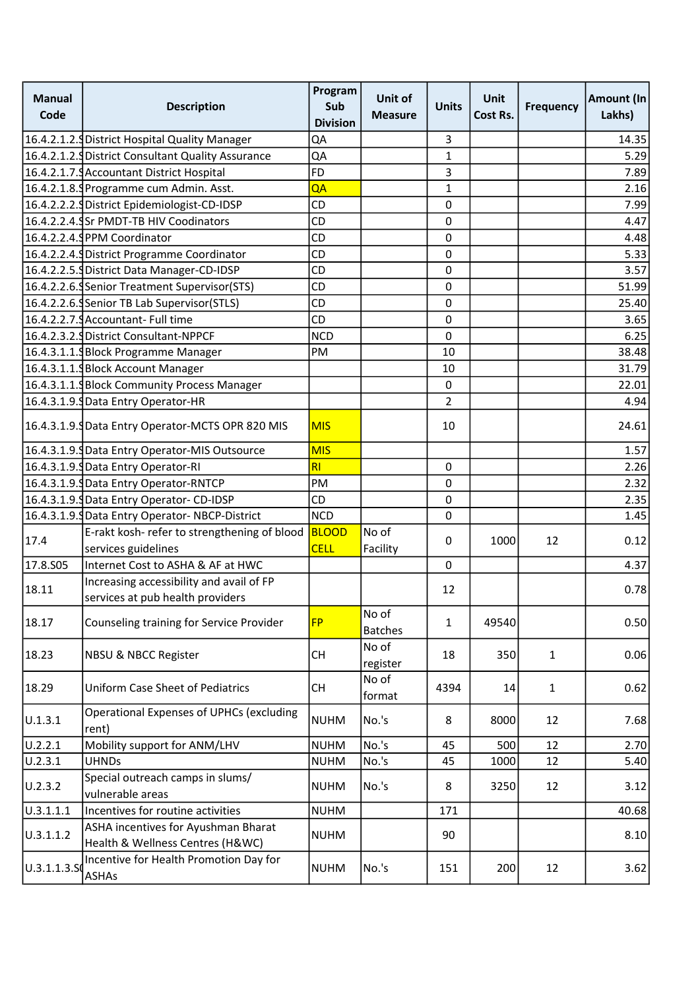| <b>Manual</b><br>Code | <b>Description</b>                                                      | Program<br>Sub<br><b>Division</b> | Unit of<br><b>Measure</b> | <b>Units</b>   | <b>Unit</b><br>Cost Rs. | <b>Frequency</b> | Amount (In<br>Lakhs) |
|-----------------------|-------------------------------------------------------------------------|-----------------------------------|---------------------------|----------------|-------------------------|------------------|----------------------|
|                       | 16.4.2.1.2. SDistrict Hospital Quality Manager                          | QA                                |                           | 3              |                         |                  | 14.35                |
|                       | 16.4.2.1.2. District Consultant Quality Assurance                       | QA                                |                           | 1              |                         |                  | 5.29                 |
|                       | 16.4.2.1.7. Accountant District Hospital                                | <b>FD</b>                         |                           | 3              |                         |                  | 7.89                 |
|                       | 16.4.2.1.8. Programme cum Admin. Asst.                                  | QA                                |                           | $\mathbf{1}$   |                         |                  | 2.16                 |
|                       | 16.4.2.2.2. District Epidemiologist-CD-IDSP                             | CD                                |                           | 0              |                         |                  | 7.99                 |
|                       | 16.4.2.2.4. Sr PMDT-TB HIV Coodinators                                  | CD                                |                           | 0              |                         |                  | 4.47                 |
|                       | 16.4.2.2.4. PPM Coordinator                                             | CD                                |                           | 0              |                         |                  | 4.48                 |
|                       | 16.4.2.2.4. District Programme Coordinator                              | CD                                |                           | $\pmb{0}$      |                         |                  | 5.33                 |
|                       | 16.4.2.2.5. District Data Manager-CD-IDSP                               | CD                                |                           | 0              |                         |                  | 3.57                 |
|                       | 16.4.2.2.6. Senior Treatment Supervisor (STS)                           | CD                                |                           | 0              |                         |                  | 51.99                |
|                       | 16.4.2.2.6. Senior TB Lab Supervisor (STLS)                             | CD                                |                           | $\pmb{0}$      |                         |                  | 25.40                |
|                       | 16.4.2.2.7.9 Accountant- Full time                                      | CD                                |                           | 0              |                         |                  | 3.65                 |
|                       | 16.4.2.3.2. District Consultant-NPPCF                                   | <b>NCD</b>                        |                           | 0              |                         |                  | 6.25                 |
|                       | 16.4.3.1.1. Block Programme Manager                                     | PM                                |                           | 10             |                         |                  | 38.48                |
|                       | 16.4.3.1.1. Block Account Manager                                       |                                   |                           | 10             |                         |                  | 31.79                |
|                       | 16.4.3.1.1. Block Community Process Manager                             |                                   |                           | 0              |                         |                  | 22.01                |
|                       | 16.4.3.1.9. Data Entry Operator-HR                                      |                                   |                           | $\overline{2}$ |                         |                  | 4.94                 |
|                       | 16.4.3.1.9. JData Entry Operator-MCTS OPR 820 MIS                       | <b>MIS</b>                        |                           | 10             |                         |                  | 24.61                |
|                       | 16.4.3.1.9. JData Entry Operator-MIS Outsource                          | <b>MIS</b>                        |                           |                |                         |                  | 1.57                 |
|                       | 16.4.3.1.9. Data Entry Operator-RI                                      | RI                                |                           | 0              |                         |                  | 2.26                 |
|                       | 16.4.3.1.9. JData Entry Operator-RNTCP                                  | PM                                |                           | 0              |                         |                  | 2.32                 |
|                       | 16.4.3.1.9. Data Entry Operator- CD-IDSP                                | CD                                |                           | 0              |                         |                  | 2.35                 |
|                       | 16.4.3.1.9. JData Entry Operator-NBCP-District                          | NCD                               |                           | 0              |                         |                  | 1.45                 |
| 17.4                  | E-rakt kosh- refer to strengthening of blood                            | <b>BLOOD</b>                      | No of                     | 0              | 1000                    | 12               | 0.12                 |
|                       | services guidelines                                                     | <b>CELL</b>                       | Facility                  |                |                         |                  |                      |
| 17.8.S05              | Internet Cost to ASHA & AF at HWC                                       |                                   |                           | 0              |                         |                  | 4.37                 |
| 18.11                 | Increasing accessibility and avail of FP                                |                                   |                           | 12             |                         |                  | 0.78                 |
|                       | services at pub health providers                                        |                                   |                           |                |                         |                  |                      |
| 18.17                 | Counseling training for Service Provider                                | <b>FP</b>                         | No of<br><b>Batches</b>   | 1              | 49540                   |                  | 0.50                 |
| 18.23                 | <b>NBSU &amp; NBCC Register</b>                                         | <b>CH</b>                         | No of<br>register         | 18             | 350                     | $\mathbf{1}$     | 0.06                 |
| 18.29                 | <b>Uniform Case Sheet of Pediatrics</b>                                 | CH                                | No of<br>format           | 4394           | 14                      | $\mathbf{1}$     | 0.62                 |
| U.1.3.1               | <b>Operational Expenses of UPHCs (excluding</b><br>rent)                | <b>NUHM</b>                       | No.'s                     | 8              | 8000                    | 12               | 7.68                 |
| U.2.2.1               | Mobility support for ANM/LHV                                            | <b>NUHM</b>                       | No.'s                     | 45             | 500                     | 12               | 2.70                 |
| U.2.3.1               | <b>UHNDs</b>                                                            | <b>NUHM</b>                       | No.'s                     | 45             | 1000                    | 12               | 5.40                 |
| U.2.3.2               | Special outreach camps in slums/<br>vulnerable areas                    | <b>NUHM</b>                       | No.'s                     | 8              | 3250                    | 12               | 3.12                 |
| 0.3.1.1.1             | Incentives for routine activities                                       | <b>NUHM</b>                       |                           | 171            |                         |                  | 40.68                |
| U.3.1.1.2             | ASHA incentives for Ayushman Bharat<br>Health & Wellness Centres (H&WC) | <b>NUHM</b>                       |                           | 90             |                         |                  | 8.10                 |
| 0.3.1.1.3.50          | Incentive for Health Promotion Day for<br><b>ASHAs</b>                  | <b>NUHM</b>                       | No.'s                     | 151            | 200                     | 12               | 3.62                 |